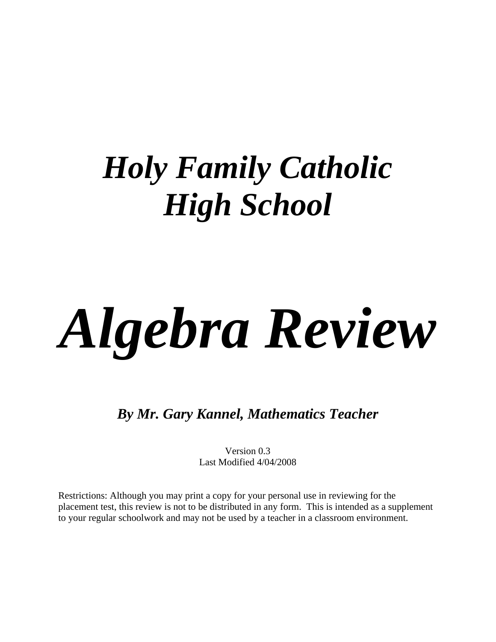## *Holy Family Catholic High School*

# *Algebra Review*

*By Mr. Gary Kannel, Mathematics Teacher* 

Version 0.3 Last Modified 4/04/2008

Restrictions: Although you may print a copy for your personal use in reviewing for the placement test, this review is not to be distributed in any form. This is intended as a supplement to your regular schoolwork and may not be used by a teacher in a classroom environment.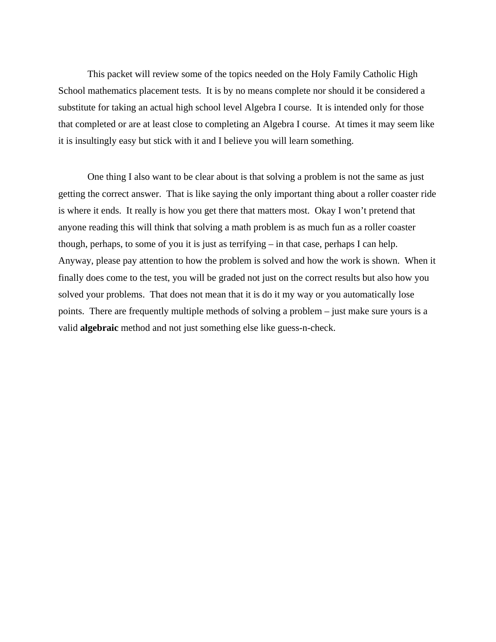This packet will review some of the topics needed on the Holy Family Catholic High School mathematics placement tests. It is by no means complete nor should it be considered a substitute for taking an actual high school level Algebra I course. It is intended only for those that completed or are at least close to completing an Algebra I course. At times it may seem like it is insultingly easy but stick with it and I believe you will learn something.

 One thing I also want to be clear about is that solving a problem is not the same as just getting the correct answer. That is like saying the only important thing about a roller coaster ride is where it ends. It really is how you get there that matters most. Okay I won't pretend that anyone reading this will think that solving a math problem is as much fun as a roller coaster though, perhaps, to some of you it is just as terrifying – in that case, perhaps I can help. Anyway, please pay attention to how the problem is solved and how the work is shown. When it finally does come to the test, you will be graded not just on the correct results but also how you solved your problems. That does not mean that it is do it my way or you automatically lose points. There are frequently multiple methods of solving a problem – just make sure yours is a valid **algebraic** method and not just something else like guess-n-check.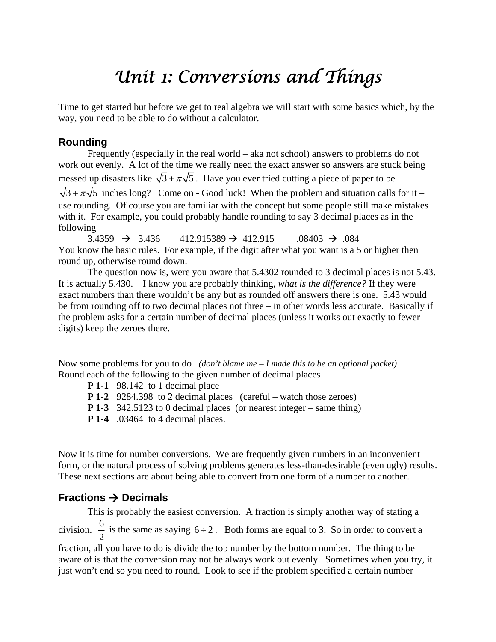### *Unit 1: Conversions and Things*

Time to get started but before we get to real algebra we will start with some basics which, by the way, you need to be able to do without a calculator.

#### **Rounding**

 Frequently (especially in the real world – aka not school) answers to problems do not work out evenly. A lot of the time we really need the exact answer so answers are stuck being messed up disasters like  $\sqrt{3} + \pi \sqrt{5}$ . Have you ever tried cutting a piece of paper to be  $\sqrt{3} + \pi\sqrt{5}$  inches long? Come on - Good luck! When the problem and situation calls for it – use rounding. Of course you are familiar with the concept but some people still make mistakes with it. For example, you could probably handle rounding to say 3 decimal places as in the following

 $3.4359 \rightarrow 3.436 \qquad 412.915389 \rightarrow 412.915 \qquad .08403 \rightarrow .084$ You know the basic rules. For example, if the digit after what you want is a 5 or higher then round up, otherwise round down.

The question now is, were you aware that 5.4302 rounded to 3 decimal places is not 5.43. It is actually 5.430. I know you are probably thinking, *what is the difference?* If they were exact numbers than there wouldn't be any but as rounded off answers there is one. 5.43 would be from rounding off to two decimal places not three – in other words less accurate. Basically if the problem asks for a certain number of decimal places (unless it works out exactly to fewer digits) keep the zeroes there.

Now some problems for you to do *(don't blame me – I made this to be an optional packet)* Round each of the following to the given number of decimal places

**P 1-1** 98.142 to 1 decimal place

**P 1-2** 9284.398 to 2 decimal places (careful – watch those zeroes)

**P 1-3** 342.5123 to 0 decimal places (or nearest integer – same thing)

**P 1-4** .03464 to 4 decimal places.

Now it is time for number conversions. We are frequently given numbers in an inconvenient form, or the natural process of solving problems generates less-than-desirable (even ugly) results. These next sections are about being able to convert from one form of a number to another.

#### **Fractions Decimals**

 This is probably the easiest conversion. A fraction is simply another way of stating a division. 2  $\frac{6}{5}$  is the same as saying 6 ÷ 2. Both forms are equal to 3. So in order to convert a fraction, all you have to do is divide the top number by the bottom number. The thing to be aware of is that the conversion may not be always work out evenly. Sometimes when you try, it just won't end so you need to round. Look to see if the problem specified a certain number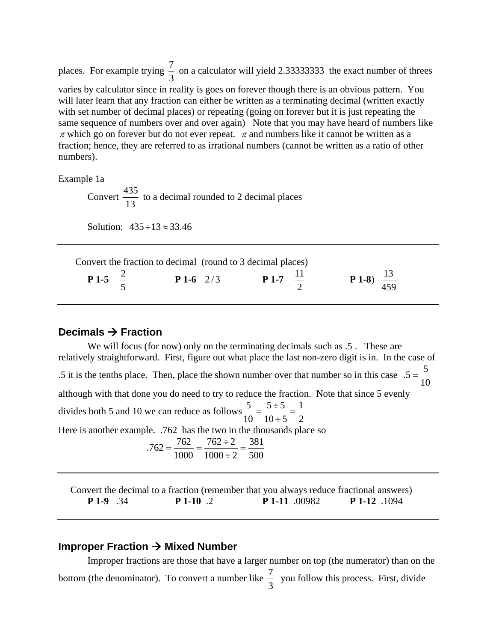places. For example trying  $\frac{7}{3}$  on a calculator will yield 2.333333333 the exact number of threes varies by calculator since in reality is goes on forever though there is an obvious pattern. You will later learn that any fraction can either be written as a terminating decimal (written exactly with set number of decimal places) or repeating (going on forever but it is just repeating the same sequence of numbers over and over again) Note that you may have heard of numbers like  $\pi$  which go on forever but do not ever repeat.  $\pi$  and numbers like it cannot be written as a fraction; hence, they are referred to as irrational numbers (cannot be written as a ratio of other numbers).

Example 1a

Convert  $\frac{435}{13}$  to a decimal rounded to 2 decimal places

Solution:  $435 \div 13 \approx 33.46$ 

Convert the fraction to decimal (round to 3 decimal places)

| <b>P</b> 1-5 $\frac{2}{7}$ |  | $P1-6$ 2/3 | <b>P</b> 1-7 $\frac{11}{2}$ | <b>P 1-8</b> ) $\frac{13}{459}$ |
|----------------------------|--|------------|-----------------------------|---------------------------------|
|----------------------------|--|------------|-----------------------------|---------------------------------|

#### **Decimals Fraction**

We will focus (for now) only on the terminating decimals such as  $.5$ . These are relatively straightforward. First, figure out what place the last non-zero digit is in. In the case of .5 it is the tenths place. Then, place the shown number over that number so in this case  $.5 = \frac{5}{10}$ although with that done you do need to try to reduce the fraction. Note that since 5 evenly divides both 5 and 10 we can reduce as follows 2 1  $10 \div 5$  $5 \div 5$  $\frac{5}{10} = \frac{5 \div 5}{10 \div 5} =$ Here is another example. .762 has the two in the thousands place so  $.762 = \frac{762}{1000} = \frac{762 \div 2}{1000 \div 2} = \frac{381}{500}$  $1000 \div 2$  $762 \div 2$  $.762 = \frac{762}{1000} = \frac{762 \div 2}{1000 \div 2} = \frac{381}{500}$ 

 Convert the decimal to a fraction (remember that you always reduce fractional answers) **P 1-9** .34 **P 1-10** .2 **P 1-11** .00982 **P 1-12** .1094

#### **Improper Fraction → Mixed Number**

Improper fractions are those that have a larger number on top (the numerator) than on the bottom (the denominator). To convert a number like  $\frac{7}{3}$  you follow this process. First, divide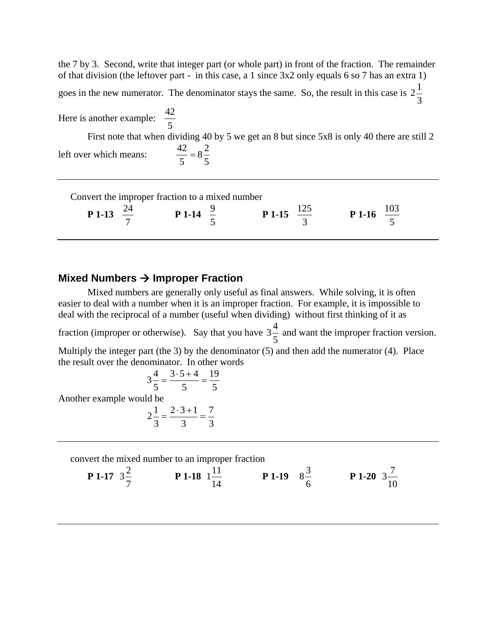the 7 by 3. Second, write that integer part (or whole part) in front of the fraction. The remainder of that division (the leftover part - in this case, a 1 since 3x2 only equals 6 so 7 has an extra 1) goes in the new numerator. The denominator stays the same. So, the result in this case is  $2\frac{1}{3}$ Here is another example:  $\frac{42}{5}$  First note that when dividing 40 by 5 we get an 8 but since 5x8 is only 40 there are still 2 left over which means: 5  $8\frac{2}{7}$ 5  $\frac{42}{7}$ 

Convert the improper fraction to a mixed number

**P** 1-13 
$$
\frac{24}{7}
$$
 **P** 1-14  $\frac{9}{5}$  **P** 1-15  $\frac{125}{3}$  **P** 1-16  $\frac{103}{5}$ 

#### **Mixed Numbers Improper Fraction**

 Mixed numbers are generally only useful as final answers. While solving, it is often easier to deal with a number when it is an improper fraction. For example, it is impossible to deal with the reciprocal of a number (useful when dividing) without first thinking of it as

fraction (improper or otherwise). Say that you have  $3\frac{4}{5}$  and want the improper fraction version.

Multiply the integer part (the 3) by the denominator (5) and then add the numerator (4). Place the result over the denominator. In other words

$$
3\frac{4}{5} = \frac{3 \cdot 5 + 4}{5} = \frac{19}{5}
$$
  
Another example would be  

$$
2\frac{1}{3} = \frac{2 \cdot 3 + 1}{3} = \frac{7}{3}
$$

convert the mixed number to an improper fraction

**P** 1-17 
$$
3\frac{2}{7}
$$
 **P** 1-18  $1\frac{11}{14}$  **P** 1-19  $8\frac{3}{6}$  **P** 1-20  $3\frac{7}{10}$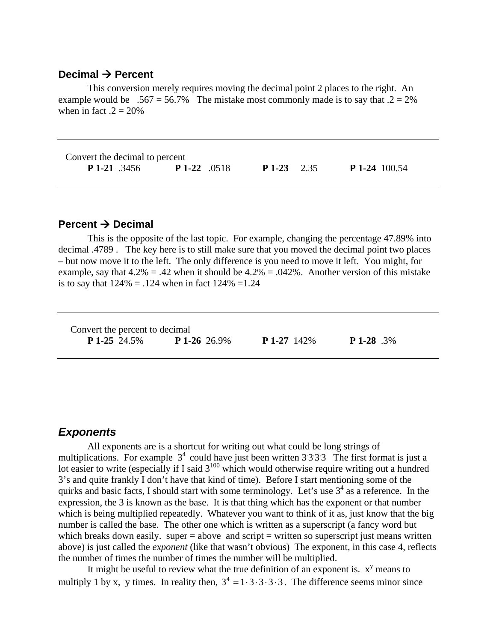#### **Decimal → Percent**

 This conversion merely requires moving the decimal point 2 places to the right. An example would be .567 = 56.7% The mistake most commonly made is to say that  $.2 = 2\%$ when in fact  $.2 = 20\%$ 

| Convert the decimal to percent |                     |              |                      |  |  |
|--------------------------------|---------------------|--------------|----------------------|--|--|
| <b>P</b> 1-21 .3456            | <b>P</b> 1-22 .0518 | $P1-23$ 2.35 | <b>P</b> 1-24 100.54 |  |  |

#### **Percent Decimal**

 This is the opposite of the last topic. For example, changing the percentage 47.89% into decimal .4789 . The key here is to still make sure that you moved the decimal point two places – but now move it to the left. The only difference is you need to move it left. You might, for example, say that  $4.2\% = .42$  when it should be  $4.2\% = .042\%$ . Another version of this mistake is to say that  $124\% = .124$  when in fact  $124\% = 1.24$ 

| Convert the percent to decimal |                     |                    |                   |
|--------------------------------|---------------------|--------------------|-------------------|
| <b>P</b> 1-25 24.5%            | <b>P</b> 1-26 26.9% | <b>P</b> 1-27 142% | <b>P</b> 1-28 .3% |

#### *Exponents*

 All exponents are is a shortcut for writing out what could be long strings of multiplications. For example  $3<sup>4</sup>$  could have just been written 3333. The first format is just a lot easier to write (especially if I said  $3^{100}$  which would otherwise require writing out a hundred 3's and quite frankly I don't have that kind of time). Before I start mentioning some of the quirks and basic facts, I should start with some terminology. Let's use  $3<sup>4</sup>$  as a reference. In the expression, the 3 is known as the base. It is that thing which has the exponent or that number which is being multiplied repeatedly. Whatever you want to think of it as, just know that the big number is called the base. The other one which is written as a superscript (a fancy word but which breaks down easily. super  $=$  above and script  $=$  written so superscript just means written above) is just called the *exponent* (like that wasn't obvious) The exponent, in this case 4, reflects the number of times the number of times the number will be multiplied.

It might be useful to review what the true definition of an exponent is.  $x<sup>y</sup>$  means to multiply 1 by x, y times. In reality then,  $3^4 = 1 \cdot 3 \cdot 3 \cdot 3 \cdot 3$ . The difference seems minor since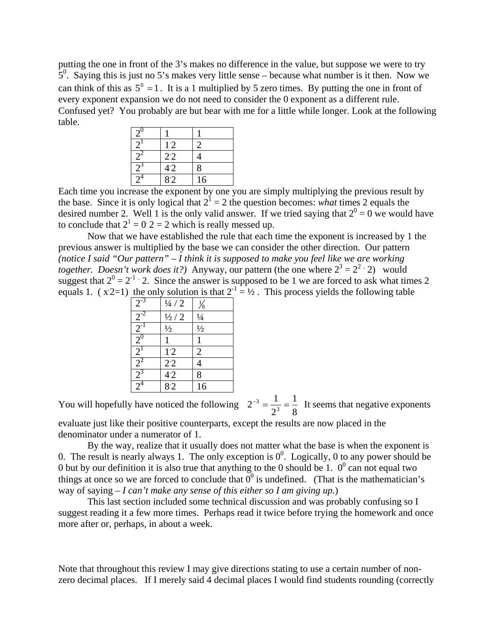putting the one in front of the 3's makes no difference in the value, but suppose we were to try  $5<sup>0</sup>$ . Saying this is just no 5's makes very little sense – because what number is it then. Now we can think of this as  $5^{\circ} = 1$ . It is a 1 multiplied by 5 zero times. By putting the one in front of every exponent expansion we do not need to consider the 0 exponent as a different rule. Confused yet? You probably are but bear with me for a little while longer. Look at the following table.

| $2^{0}$ |     |    |
|---------|-----|----|
|         | 1.2 |    |
|         | 2.2 |    |
|         | 4.2 | 8  |
|         | 8.2 | 16 |

Each time you increase the exponent by one you are simply multiplying the previous result by the base. Since it is only logical that  $2^1 = 2$  the question becomes: *what* times 2 equals the desired number 2. Well 1 is the only valid answer. If we tried saying that  $2^0 = 0$  we would have to conclude that  $2^1 = 0$ :  $2 = 2$  which is really messed up.

 Now that we have established the rule that each time the exponent is increased by 1 the previous answer is multiplied by the base we can consider the other direction. Our pattern *(notice I said "Our pattern" – I think it is supposed to make you feel like we are working together. Doesn't work does it?*) Anyway, our pattern (the one where  $2^3 = 2^2 \cdot 2$ ) would suggest that  $2^0 = 2^{-1}$  2. Since the answer is supposed to be 1 we are forced to ask what times 2 equals 1. ( $x2=1$ ) the only solution is that  $2^{-1} = \frac{1}{2}$ . This process yields the following table

| $2^{-3}$                | $\frac{1}{4}$ / 2 | $\frac{1}{8}$  |
|-------------------------|-------------------|----------------|
|                         | $\frac{1}{2}$ / 2 | $\frac{1}{4}$  |
| $\frac{2^{-2}}{2^{-1}}$ | $\frac{1}{2}$     | $\frac{1}{2}$  |
|                         |                   |                |
| $2^1$                   | 1.2               | $\overline{2}$ |
| $2^2$                   | 2.2               | 4              |
| $\frac{2^3}{2^4}$       | 4.2               | 8              |
|                         | 8.2               | 16             |

You will hopefully have noticed the following  $2^{-3} = \frac{1}{2^3} = \frac{1}{8}$  $2^{-3} = \frac{1}{2^3} = \frac{1}{8}$  It seems that negative exponents evaluate just like their positive counterparts, except the results are now placed in the denominator under a numerator of 1.

 By the way, realize that it usually does not matter what the base is when the exponent is 0. The result is nearly always 1. The only exception is  $0^0$ . Logically, 0 to any power should be 0 but by our definition it is also true that anything to the 0 should be 1.  $0^0$  can not equal two things at once so we are forced to conclude that  $0^0$  is undefined. (That is the mathematician's way of saying *– I can't make any sense of this either so I am giving up.*)

 This last section included some technical discussion and was probably confusing so I suggest reading it a few more times. Perhaps read it twice before trying the homework and once more after or, perhaps, in about a week.

Note that throughout this review I may give directions stating to use a certain number of nonzero decimal places. If I merely said 4 decimal places I would find students rounding (correctly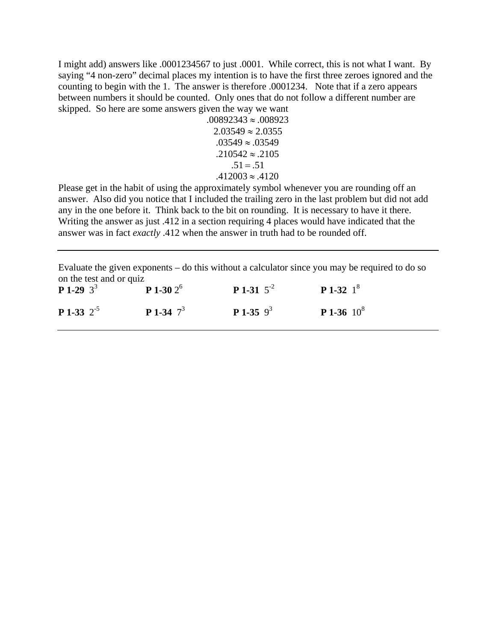I might add) answers like .0001234567 to just .0001. While correct, this is not what I want. By saying "4 non-zero" decimal places my intention is to have the first three zeroes ignored and the counting to begin with the 1. The answer is therefore .0001234. Note that if a zero appears between numbers it should be counted. Only ones that do not follow a different number are skipped. So here are some answers given the way we want

$$
.00892343 \approx .008923
$$
  
\n
$$
2.03549 \approx 2.0355
$$
  
\n
$$
.03549 \approx .03549
$$
  
\n
$$
.210542 \approx .2105
$$
  
\n
$$
.51 = .51
$$
  
\n
$$
.412003 \approx .4120
$$

Please get in the habit of using the approximately symbol whenever you are rounding off an answer. Also did you notice that I included the trailing zero in the last problem but did not add any in the one before it. Think back to the bit on rounding. It is necessary to have it there. Writing the answer as just .412 in a section requiring 4 places would have indicated that the answer was in fact *exactly* .412 when the answer in truth had to be rounded off.

Evaluate the given exponents – do this without a calculator since you may be required to do so on the test and or quiz

| <b>P</b> 1-29 $3^3$    | $P$ 1-30 $2^6$      | <b>P</b> 1-31 $5^{-2}$ | <b>P</b> 1-32 $1^8$  |
|------------------------|---------------------|------------------------|----------------------|
| <b>P</b> 1-33 $2^{-5}$ | <b>P</b> 1-34 $7^3$ | <b>P</b> 1-35 $9^3$    | <b>P</b> 1-36 $10^8$ |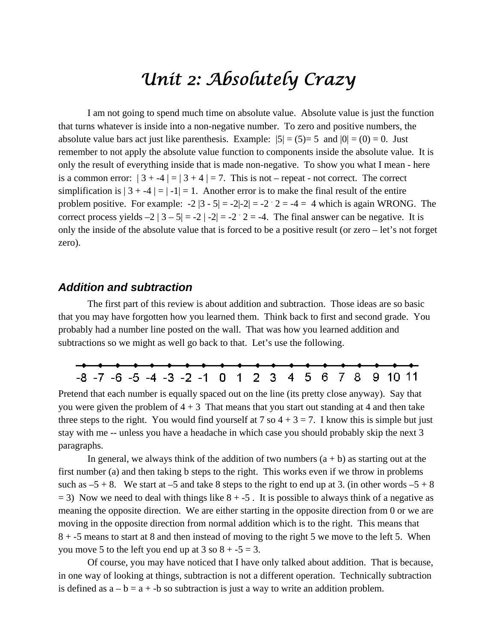### *Unit 2: Absolutely Crazy*

 I am not going to spend much time on absolute value. Absolute value is just the function that turns whatever is inside into a non-negative number. To zero and positive numbers, the absolute value bars act just like parenthesis. Example:  $|5| = (5)=5$  and  $|0| = (0) = 0$ . Just remember to not apply the absolute value function to components inside the absolute value. It is only the result of everything inside that is made non-negative. To show you what I mean - here is a common error:  $|3 + -4| = |3 + 4| = 7$ . This is not – repeat - not correct. The correct simplification is  $|3 + -4| = |-1| = 1$ . Another error is to make the final result of the entire problem positive. For example:  $-2|3 - 5| = -2|-2| = -2 \cdot 2 = -4 = 4$  which is again WRONG. The correct process yields  $-2 | 3 - 5| = -2 | -2| = -2 \cdot 2 = -4$ . The final answer can be negative. It is only the inside of the absolute value that is forced to be a positive result (or zero – let's not forget zero).

#### *Addition and subtraction*

The first part of this review is about addition and subtraction. Those ideas are so basic that you may have forgotten how you learned them. Think back to first and second grade. You probably had a number line posted on the wall. That was how you learned addition and subtractions so we might as well go back to that. Let's use the following.



Pretend that each number is equally spaced out on the line (its pretty close anyway). Say that you were given the problem of  $4 + 3$  That means that you start out standing at 4 and then take three steps to the right. You would find yourself at 7 so  $4 + 3 = 7$ . I know this is simple but just stay with me -- unless you have a headache in which case you should probably skip the next 3 paragraphs.

In general, we always think of the addition of two numbers  $(a + b)$  as starting out at the first number (a) and then taking b steps to the right. This works even if we throw in problems such as  $-5 + 8$ . We start at  $-5$  and take 8 steps to the right to end up at 3. (in other words  $-5 + 8$  $=$  3) Now we need to deal with things like  $8 + -5$ . It is possible to always think of a negative as meaning the opposite direction. We are either starting in the opposite direction from 0 or we are moving in the opposite direction from normal addition which is to the right. This means that 8 + -5 means to start at 8 and then instead of moving to the right 5 we move to the left 5. When you move 5 to the left you end up at 3 so  $8 + -5 = 3$ .

 Of course, you may have noticed that I have only talked about addition. That is because, in one way of looking at things, subtraction is not a different operation. Technically subtraction is defined as  $a - b = a + b$  so subtraction is just a way to write an addition problem.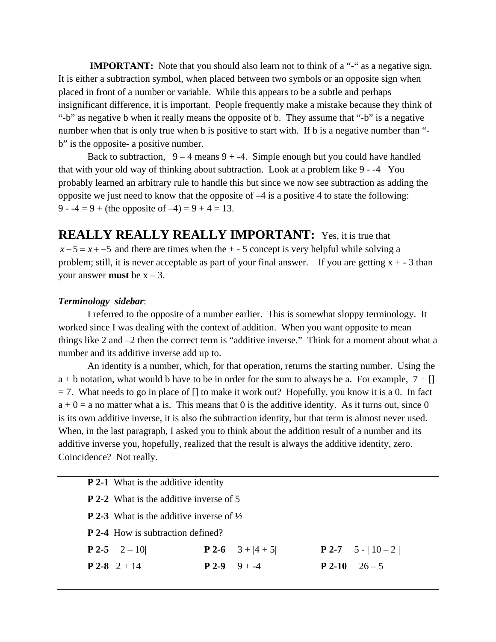**IMPORTANT:** Note that you should also learn not to think of a "-" as a negative sign. It is either a subtraction symbol, when placed between two symbols or an opposite sign when placed in front of a number or variable. While this appears to be a subtle and perhaps insignificant difference, it is important. People frequently make a mistake because they think of "-b" as negative b when it really means the opposite of b. They assume that "-b" is a negative number when that is only true when b is positive to start with. If b is a negative number than "b" is the opposite- a positive number.

Back to subtraction,  $9 - 4$  means  $9 + -4$ . Simple enough but you could have handled that with your old way of thinking about subtraction. Look at a problem like 9 - -4 You probably learned an arbitrary rule to handle this but since we now see subtraction as adding the opposite we just need to know that the opposite of  $-4$  is a positive 4 to state the following: 9 -  $-4 = 9 +$  (the opposite of  $-4 = 9 + 4 = 13$ .

**REALLY REALLY REALLY IMPORTANT:** Yes, it is true that  $x-5 = x + -5$  and there are times when the  $+ -5$  concept is very helpful while solving a problem; still, it is never acceptable as part of your final answer. If you are getting  $x + -3$  than your answer **must** be  $x - 3$ .

#### *Terminology sidebar*:

I referred to the opposite of a number earlier. This is somewhat sloppy terminology. It worked since I was dealing with the context of addition. When you want opposite to mean things like 2 and –2 then the correct term is "additive inverse." Think for a moment about what a number and its additive inverse add up to.

An identity is a number, which, for that operation, returns the starting number. Using the  $a + b$  notation, what would b have to be in order for the sum to always be a. For example,  $7 + []$  $= 7$ . What needs to go in place of  $\left[\right]$  to make it work out? Hopefully, you know it is a 0. In fact  $a + 0 = a$  no matter what a is. This means that 0 is the additive identity. As it turns out, since 0 is its own additive inverse, it is also the subtraction identity, but that term is almost never used. When, in the last paragraph, I asked you to think about the addition result of a number and its additive inverse you, hopefully, realized that the result is always the additive identity, zero. Coincidence? Not really.

| <b>P 2-1</b> What is the additive identity                 |                |                            |  |                           |
|------------------------------------------------------------|----------------|----------------------------|--|---------------------------|
| <b>P</b> 2-2 What is the additive inverse of 5             |                |                            |  |                           |
| <b>P</b> 2-3 What is the additive inverse of $\frac{1}{2}$ |                |                            |  |                           |
| <b>P</b> 2-4 How is subtraction defined?                   |                |                            |  |                           |
| <b>P 2-5</b> $ 2 - 10 $                                    |                | <b>P 2-6</b> $3 +  4 + 5 $ |  | <b>P</b> 2-7 5 -   10 - 2 |
| $P$ 2-8 2 + 14                                             | $P 2-9 9 + -4$ |                            |  | $P 2-10 26-5$             |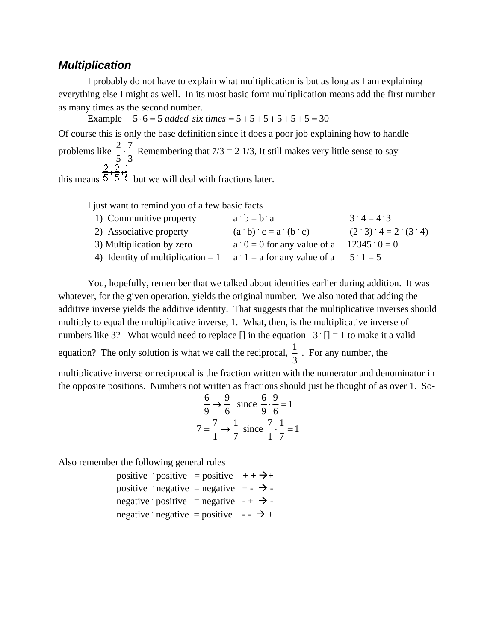#### *Multiplication*

 I probably do not have to explain what multiplication is but as long as I am explaining everything else I might as well. In its most basic form multiplication means add the first number as many times as the second number.

Example  $5 \cdot 6 = 5$  *added six times*  $= 5 + 5 + 5 + 5 + 5 + 5 = 30$ 

Of course this is only the base definition since it does a poor job explaining how to handle problems like  $\frac{2}{5} \cdot \frac{7}{3}$ 5  $\frac{2}{5} \cdot \frac{7}{5}$  Remembering that 7/3 = 2 1/3, It still makes very little sense to say this means  $5.5\div$  but we will deal with fractions later.

I just want to remind you of a few basic facts

| 1) Communitive property                                              | $a \cdot b = b \cdot a$                    | $3 \cdot 4 = 4 \cdot 3$     |
|----------------------------------------------------------------------|--------------------------------------------|-----------------------------|
| 2) Associative property                                              | $(a \ b) \ c = a \ (b \ c)$                | $(2 \t3) \t4 = 2 \t(3 \t4)$ |
| 3) Multiplication by zero                                            | a $0 = 0$ for any value of a 12345 $0 = 0$ |                             |
| 4) Identity of multiplication = 1 a 1 = a for any value of a 5 1 = 5 |                                            |                             |

 You, hopefully, remember that we talked about identities earlier during addition. It was whatever, for the given operation, yields the original number. We also noted that adding the additive inverse yields the additive identity. That suggests that the multiplicative inverses should multiply to equal the multiplicative inverse, 1. What, then, is the multiplicative inverse of numbers like 3? What would need to replace  $\lceil \cdot \rceil$  in the equation 3  $\lceil \cdot \rceil = 1$  to make it a valid equation? The only solution is what we call the reciprocal,  $\frac{1}{3}$ . For any number, the

multiplicative inverse or reciprocal is the fraction written with the numerator and denominator in the opposite positions. Numbers not written as fractions should just be thought of as over 1. So-

$$
\frac{6}{9} \rightarrow \frac{9}{6} \text{ since } \frac{6}{9} \cdot \frac{9}{6} = 1
$$
  

$$
7 = \frac{7}{1} \rightarrow \frac{1}{7} \text{ since } \frac{7}{1} \cdot \frac{1}{7} = 1
$$

Also remember the following general rules

|  | positive positive = positive $++\rightarrow+$     |  |
|--|---------------------------------------------------|--|
|  | positive negative = negative + - $\rightarrow$ -  |  |
|  | negative positive = negative $-+$ $\rightarrow$ - |  |
|  | negative negative = positive $ \rightarrow$ +     |  |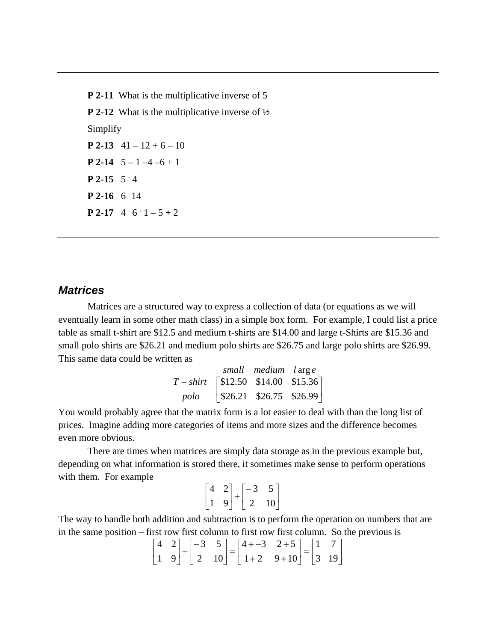**P 2-11** What is the multiplicative inverse of 5 **P 2-12** What is the multiplicative inverse of  $\frac{1}{2}$ Simplify **P 2-13**  $41 - 12 + 6 - 10$ **P** 2-14  $5 - 1 - 4 - 6 + 1$ **P** 2-15  $5 \div 4$ **P 2-16** 6 14 **P 2-17** 4 6  $1-5+2$ 

#### *Matrices*

 Matrices are a structured way to express a collection of data (or equations as we will eventually learn in some other math class) in a simple box form. For example, I could list a price table as small t-shirt are \$12.5 and medium t-shirts are \$14.00 and large t-Shirts are \$15.36 and small polo shirts are \$26.21 and medium polo shirts are \$26.75 and large polo shirts are \$26.99. This same data could be written as

|                                       | small medium large             |  |
|---------------------------------------|--------------------------------|--|
| $T - shift$ [\$12.50 \$14.00 \$15.36] |                                |  |
|                                       | polo   \$26.21 \$26.75 \$26.99 |  |

You would probably agree that the matrix form is a lot easier to deal with than the long list of prices. Imagine adding more categories of items and more sizes and the difference becomes even more obvious.

 There are times when matrices are simply data storage as in the previous example but, depending on what information is stored there, it sometimes make sense to perform operations with them. For example

$$
\begin{bmatrix} 4 & 2 \\ 1 & 9 \end{bmatrix} + \begin{bmatrix} -3 & 5 \\ 2 & 10 \end{bmatrix}
$$

The way to handle both addition and subtraction is to perform the operation on numbers that are in the same position – first row first column to first row first column. So the previous is

$$
\begin{bmatrix} 4 & 2 \ 1 & 9 \end{bmatrix} + \begin{bmatrix} -3 & 5 \ 2 & 10 \end{bmatrix} = \begin{bmatrix} 4+-3 & 2+5 \ 1+2 & 9+10 \end{bmatrix} = \begin{bmatrix} 1 & 7 \ 3 & 19 \end{bmatrix}
$$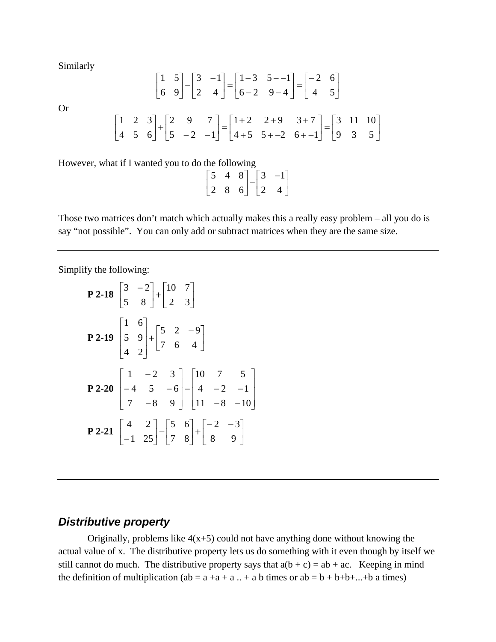Similarly

Or

$$
\begin{bmatrix} 1 & 5 \ 6 & 9 \end{bmatrix} - \begin{bmatrix} 3 & -1 \ 2 & 4 \end{bmatrix} = \begin{bmatrix} 1-3 & 5-1 \ 6-2 & 9-4 \end{bmatrix} = \begin{bmatrix} -2 & 6 \ 4 & 5 \end{bmatrix}
$$

$$
\begin{bmatrix} 1 & 2 & 3 \ 4 & 5 & 6 \end{bmatrix} + \begin{bmatrix} 2 & 9 & 7 \ 5 & -2 & -1 \end{bmatrix} = \begin{bmatrix} 1+2 & 2+9 & 3+7 \ 4+5 & 5+-2 & 6+-1 \end{bmatrix} = \begin{bmatrix} 3 & 11 & 10 \ 9 & 3 & 5 \end{bmatrix}
$$

However, what if I wanted you to do the following

|  |                                                                                                 | $-1$ ]      |
|--|-------------------------------------------------------------------------------------------------|-------------|
|  | $\begin{bmatrix} 5 & 4 & 8 \\ 2 & 8 & 6 \end{bmatrix}$ - $\begin{bmatrix} 3 \\ 2 \end{bmatrix}$ | $4 \rfloor$ |

Those two matrices don't match which actually makes this a really easy problem – all you do is say "not possible". You can only add or subtract matrices when they are the same size.

Simplify the following:

$$
\begin{bmatrix} 3 & -2 \\ 5 & 8 \end{bmatrix} + \begin{bmatrix} 10 & 7 \\ 2 & 3 \end{bmatrix}
$$
  
\n
$$
\begin{bmatrix} 1 & 6 \\ 5 & 9 \\ 4 & 2 \end{bmatrix} + \begin{bmatrix} 5 & 2 & -9 \\ 7 & 6 & 4 \end{bmatrix}
$$
  
\n
$$
\begin{bmatrix} 1 & -2 & 3 \\ -4 & 5 & -6 \\ 7 & -8 & 9 \end{bmatrix} - \begin{bmatrix} 10 & 7 & 5 \\ 4 & -2 & -1 \\ 11 & -8 & -10 \end{bmatrix}
$$
  
\n
$$
\begin{bmatrix} 4 & 2 \\ -1 & 25 \end{bmatrix} - \begin{bmatrix} 5 & 6 \\ 7 & 8 \end{bmatrix} + \begin{bmatrix} -2 & -3 \\ 8 & 9 \end{bmatrix}
$$

#### *Distributive property*

Originally, problems like  $4(x+5)$  could not have anything done without knowing the actual value of x. The distributive property lets us do something with it even though by itself we still cannot do much. The distributive property says that  $a(b + c) = ab + ac$ . Keeping in mind the definition of multiplication (ab =  $a + a + a$ ... + a b times or ab =  $b + b + b + ... + b$  a times)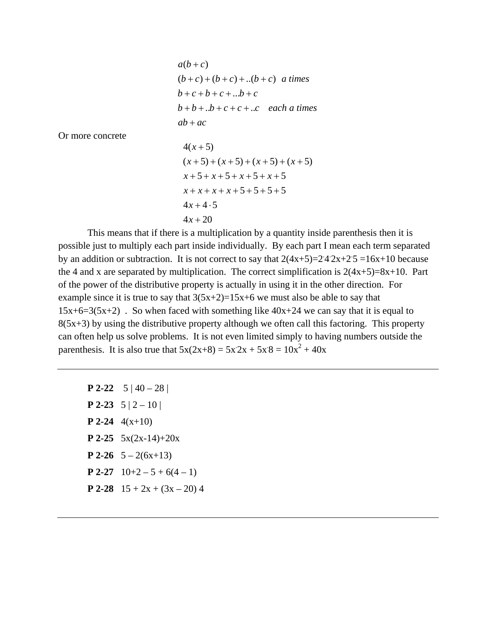*ab ac*  $b + b + b + c + c + c + c$  *each a times*  $b + c + b + c + ...b + c$  $(b+c)+(b+c)+...(b+c)$  *a times*  $a(b+c)$ 

Or more concrete

 $4x + 20$  $4x + 4 \cdot 5$  $x + x + x + x + 5 + 5 + 5 + 5$  $x+5+x+5+x+5+x+5$  $(x+5)+(x+5)+(x+5)+(x+5)$  $4(x+5)$ 

 This means that if there is a multiplication by a quantity inside parenthesis then it is possible just to multiply each part inside individually. By each part I mean each term separated by an addition or subtraction. It is not correct to say that  $2(4x+5)=24.2x+2.5=16x+10$  because the 4 and x are separated by multiplication. The correct simplification is  $2(4x+5)=8x+10$ . Part of the power of the distributive property is actually in using it in the other direction. For example since it is true to say that  $3(5x+2)=15x+6$  we must also be able to say that  $15x+6=3(5x+2)$ . So when faced with something like  $40x+24$  we can say that it is equal to  $8(5x+3)$  by using the distributive property although we often call this factoring. This property can often help us solve problems. It is not even limited simply to having numbers outside the parenthesis. It is also true that  $5x(2x+8) = 5x2x + 5x8 = 10x^2 + 40x$ 

**P 2-22**  $5 | 40 - 28 |$ **P 2-23**  $5 | 2 - 10 |$ **P 2-24** 4(x+10) **P 2-25**  $5x(2x-14)+20x$ **P 2-26**  $5 - 2(6x+13)$ **P 2-27**  $10+2-5+6(4-1)$ **P 2-28**  $15 + 2x + (3x - 20)$  4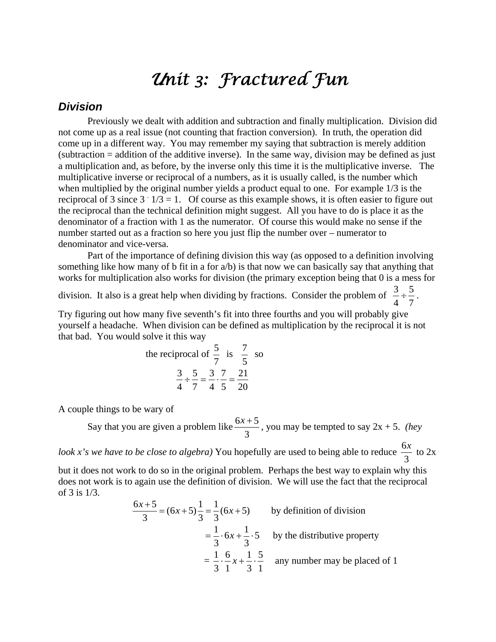### *Unit 3: Fractured Fun*

#### *Division*

 Previously we dealt with addition and subtraction and finally multiplication. Division did not come up as a real issue (not counting that fraction conversion). In truth, the operation did come up in a different way. You may remember my saying that subtraction is merely addition (subtraction = addition of the additive inverse). In the same way, division may be defined as just a multiplication and, as before, by the inverse only this time it is the multiplicative inverse. The multiplicative inverse or reciprocal of a numbers, as it is usually called, is the number which when multiplied by the original number yields a product equal to one. For example 1/3 is the reciprocal of 3 since  $3 \cdot 1/3 = 1$ . Of course as this example shows, it is often easier to figure out the reciprocal than the technical definition might suggest. All you have to do is place it as the denominator of a fraction with 1 as the numerator. Of course this would make no sense if the number started out as a fraction so here you just flip the number over – numerator to denominator and vice-versa.

 Part of the importance of defining division this way (as opposed to a definition involving something like how many of b fit in a for a/b) is that now we can basically say that anything that works for multiplication also works for division (the primary exception being that 0 is a mess for

division. It also is a great help when dividing by fractions. Consider the problem of  $\frac{3}{4} \div \frac{5}{7}$ 4  $\frac{3}{1} \div \frac{5}{7}$ .

Try figuring out how many five seventh's fit into three fourths and you will probably give yourself a headache. When division can be defined as multiplication by the reciprocal it is not that bad. You would solve it this way

the reciprocal of 
$$
\frac{5}{7}
$$
 is  $\frac{7}{5}$  so  

$$
\frac{3}{4} \div \frac{5}{7} = \frac{3}{4} \cdot \frac{7}{5} = \frac{21}{20}
$$

A couple things to be wary of

Say that you are given a problem like  $\frac{6x+5}{3}$ , you may be tempted to say 2x + 5. *(hey* 

*look x's we have to be close to algebra*) You hopefully are used to being able to reduce  $\frac{6x}{3}$  to 2x

but it does not work to do so in the original problem. Perhaps the best way to explain why this does not work is to again use the definition of division. We will use the fact that the reciprocal of 3 is 1/3.

$$
\frac{6x+5}{3} = (6x+5)\frac{1}{3} = \frac{1}{3}(6x+5)
$$
 by definition of division  

$$
= \frac{1}{3} \cdot 6x + \frac{1}{3} \cdot 5
$$
 by the distributive property  

$$
= \frac{1}{3} \cdot \frac{6}{1}x + \frac{1}{3} \cdot \frac{5}{1}
$$
any number may be placed of 1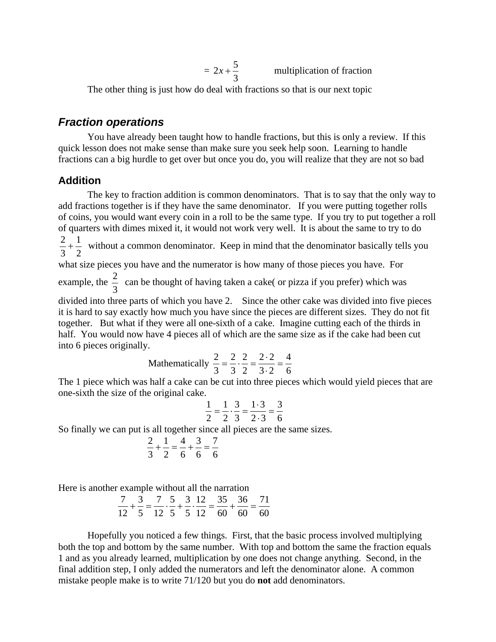$$
= 2x + \frac{5}{3}
$$
 multiplication of fraction

The other thing is just how do deal with fractions so that is our next topic

#### *Fraction operations*

 You have already been taught how to handle fractions, but this is only a review. If this quick lesson does not make sense than make sure you seek help soon. Learning to handle fractions can a big hurdle to get over but once you do, you will realize that they are not so bad

#### **Addition**

 The key to fraction addition is common denominators. That is to say that the only way to add fractions together is if they have the same denominator. If you were putting together rolls of coins, you would want every coin in a roll to be the same type. If you try to put together a roll of quarters with dimes mixed it, it would not work very well. It is about the same to try to do 

  $\frac{2}{5} + \frac{1}{2}$  without a common denominator. Keep in mind that the denominator basically tells you

what size pieces you have and the numerator is how many of those pieces you have. For

example, the  $\frac{2}{3}$  can be thought of having taken a cake( or pizza if you prefer) which was

divided into three parts of which you have 2. Since the other cake was divided into five pieces it is hard to say exactly how much you have since the pieces are different sizes. They do not fit together. But what if they were all one-sixth of a cake. Imagine cutting each of the thirds in half. You would now have 4 pieces all of which are the same size as if the cake had been cut into 6 pieces originally.

Mathematically 
$$
\frac{2}{3} = \frac{2}{3} \cdot \frac{2}{2} = \frac{2 \cdot 2}{3 \cdot 2} = \frac{4}{6}
$$

The 1 piece which was half a cake can be cut into three pieces which would yield pieces that are one-sixth the size of the original cake.

$$
\frac{1}{2} = \frac{1}{2} \cdot \frac{3}{3} = \frac{1 \cdot 3}{2 \cdot 3} = \frac{3}{6}
$$

So finally we can put is all together since all pieces are the same sizes.

$$
\frac{2}{3} + \frac{1}{2} = \frac{4}{6} + \frac{3}{6} = \frac{7}{6}
$$

Here is another example without all the narration

$$
\frac{7}{12} + \frac{3}{5} = \frac{7}{12} \cdot \frac{5}{5} + \frac{3}{5} \cdot \frac{12}{12} = \frac{35}{60} + \frac{36}{60} = \frac{71}{60}
$$

Hopefully you noticed a few things. First, that the basic process involved multiplying both the top and bottom by the same number. With top and bottom the same the fraction equals 1 and as you already learned, multiplication by one does not change anything. Second, in the final addition step, I only added the numerators and left the denominator alone. A common mistake people make is to write 71/120 but you do **not** add denominators.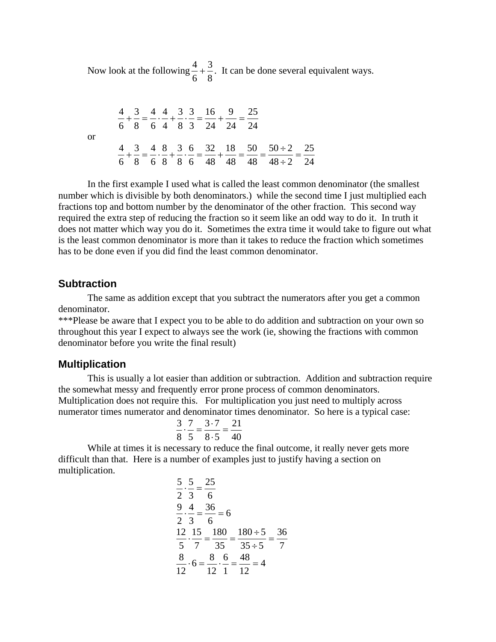Now look at the following  $\frac{4}{6} + \frac{3}{8}$   $\frac{4}{1} + \frac{3}{5}$ . It can be done several equivalent ways.

  $\frac{4}{1} + \frac{3}{2} = \frac{4}{1} + \frac{4}{1} + \frac{3}{1} + \frac{3}{1} = \frac{16}{11} + \frac{9}{11} =$ or  $48 \div 2$  $50 \div 2$   $\frac{4}{6} + \frac{3}{8} = \frac{4}{6} \cdot \frac{8}{8} + \frac{3}{8} \cdot \frac{6}{6} = \frac{32}{48} + \frac{18}{48} = \frac{50}{48} = \frac{50 \div 2}{48 \div 2} =$ 

In the first example I used what is called the least common denominator (the smallest number which is divisible by both denominators.) while the second time I just multiplied each fractions top and bottom number by the denominator of the other fraction. This second way required the extra step of reducing the fraction so it seem like an odd way to do it. In truth it does not matter which way you do it. Sometimes the extra time it would take to figure out what is the least common denominator is more than it takes to reduce the fraction which sometimes has to be done even if you did find the least common denominator.

#### **Subtraction**

 The same as addition except that you subtract the numerators after you get a common denominator.

\*\*\*Please be aware that I expect you to be able to do addition and subtraction on your own so throughout this year I expect to always see the work (ie, showing the fractions with common denominator before you write the final result)

#### **Multiplication**

 This is usually a lot easier than addition or subtraction. Addition and subtraction require the somewhat messy and frequently error prone process of common denominators. Multiplication does not require this. For multiplication you just need to multiply across numerator times numerator and denominator times denominator. So here is a typical case:

$$
\frac{3}{8} \cdot \frac{7}{5} = \frac{3 \cdot 7}{8 \cdot 5} = \frac{21}{40}
$$

While at times it is necessary to reduce the final outcome, it really never gets more difficult than that. Here is a number of examples just to justify having a section on multiplication.

$$
\frac{5}{2} \cdot \frac{5}{3} = \frac{25}{6}
$$
  

$$
\frac{9}{2} \cdot \frac{4}{3} = \frac{36}{6} = 6
$$
  

$$
\frac{12}{5} \cdot \frac{15}{7} = \frac{180}{35} = \frac{180 \div 5}{35 \div 5} = \frac{36}{7}
$$
  

$$
\frac{8}{12} \cdot 6 = \frac{8}{12} \cdot \frac{6}{1} = \frac{48}{12} = 4
$$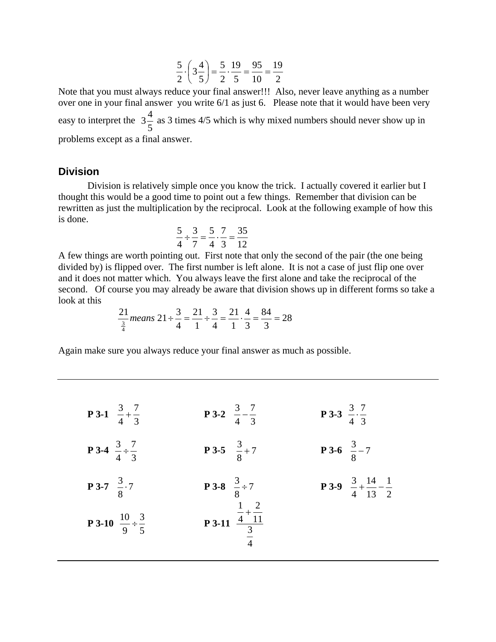$$
\frac{5}{2} \cdot \left(3\frac{4}{5}\right) = \frac{5}{2} \cdot \frac{19}{5} = \frac{95}{10} = \frac{19}{2}
$$

Note that you must always reduce your final answer!!! Also, never leave anything as a number over one in your final answer you write 6/1 as just 6. Please note that it would have been very easy to interpret the  $3\frac{4}{5}$  as 3 times 4/5 which is why mixed numbers should never show up in problems except as a final answer.

#### **Division**

Division is relatively simple once you know the trick. I actually covered it earlier but I thought this would be a good time to point out a few things. Remember that division can be rewritten as just the multiplication by the reciprocal. Look at the following example of how this is done.

$$
\frac{5}{4} \div \frac{3}{7} = \frac{5}{4} \cdot \frac{7}{3} = \frac{35}{12}
$$

A few things are worth pointing out. First note that only the second of the pair (the one being divided by) is flipped over. The first number is left alone. It is not a case of just flip one over and it does not matter which. You always leave the first alone and take the reciprocal of the second. Of course you may already be aware that division shows up in different forms so take a look at this

$$
\frac{21}{\frac{3}{4}}means 21 \div \frac{3}{4} = \frac{21}{1} \div \frac{3}{4} = \frac{21}{1} \cdot \frac{4}{3} = \frac{84}{3} = 28
$$

Again make sure you always reduce your final answer as much as possible.

| <b>P</b> 3-1 $\frac{3}{4} + \frac{7}{3}$      | <b>P3-2</b> $\frac{3}{4} - \frac{7}{3}$                       | <b>P3-3</b> $\frac{3}{4} \cdot \frac{7}{3}$              |
|-----------------------------------------------|---------------------------------------------------------------|----------------------------------------------------------|
| <b>P</b> 3-4 $\frac{3}{4} \div \frac{7}{3}$   | <b>P3-5</b> $\frac{3}{8}+7$                                   | <b>P</b> 3-6 $\frac{3}{8}$ – 7                           |
| <b>P3-7</b> $\frac{3}{8}$ .7                  | <b>P</b> 3-8 $\frac{3}{8} \div 7$                             | <b>P 3-9</b> $\frac{3}{4} + \frac{14}{13} - \frac{1}{2}$ |
| <b>P</b> 3-10 $\frac{10}{9} \div \frac{3}{5}$ | <b>P3-11</b> $\frac{\frac{1}{4} + \frac{2}{11}}{\frac{3}{4}}$ |                                                          |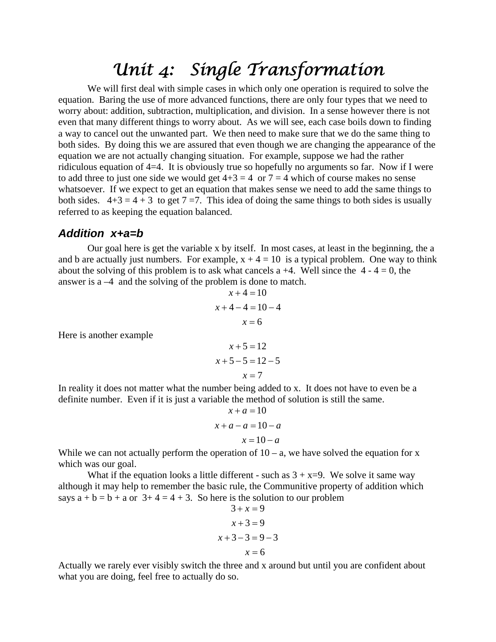### *Unit 4: Single Transformation*

 We will first deal with simple cases in which only one operation is required to solve the equation. Baring the use of more advanced functions, there are only four types that we need to worry about: addition, subtraction, multiplication, and division. In a sense however there is not even that many different things to worry about. As we will see, each case boils down to finding a way to cancel out the unwanted part. We then need to make sure that we do the same thing to both sides. By doing this we are assured that even though we are changing the appearance of the equation we are not actually changing situation. For example, suppose we had the rather ridiculous equation of 4=4. It is obviously true so hopefully no arguments so far. Now if I were to add three to just one side we would get  $4+3 = 4$  or  $7 = 4$  which of course makes no sense whatsoever. If we expect to get an equation that makes sense we need to add the same things to both sides.  $4+3 = 4+3$  to get  $7 = 7$ . This idea of doing the same things to both sides is usually referred to as keeping the equation balanced.

#### *Addition x+a=b*

Here is another example

 Our goal here is get the variable x by itself. In most cases, at least in the beginning, the a and b are actually just numbers. For example,  $x + 4 = 10$  is a typical problem. One way to think about the solving of this problem is to ask what cancels a  $+4$ . Well since the  $4 - 4 = 0$ , the answer is a –4 and the solving of the problem is done to match.

$$
x+4=10
$$
  

$$
x+4-4=10-4
$$
  

$$
x = 6
$$
  

$$
x+5=12
$$
  

$$
x+5-5=12-5
$$
  

$$
x-7
$$

7  $=$ *x* In reality it does not matter what the number being added to x. It does not have to even be a

definite number. Even if it is just a variable the method of solution is still the same.

$$
x + a = 10
$$

$$
x + a - a = 10 - a
$$

$$
x = 10 - a
$$

While we can not actually perform the operation of  $10 - a$ , we have solved the equation for x which was our goal.

What if the equation looks a little different - such as  $3 + x=9$ . We solve it same way although it may help to remember the basic rule, the Communitive property of addition which says  $a + b = b + a$  or  $3 + 4 = 4 + 3$ . So here is the solution to our problem

$$
3 + x = 9
$$
  

$$
x + 3 = 9
$$
  

$$
x + 3 - 3 = 9 - 3
$$
  

$$
x = 6
$$

Actually we rarely ever visibly switch the three and x around but until you are confident about what you are doing, feel free to actually do so.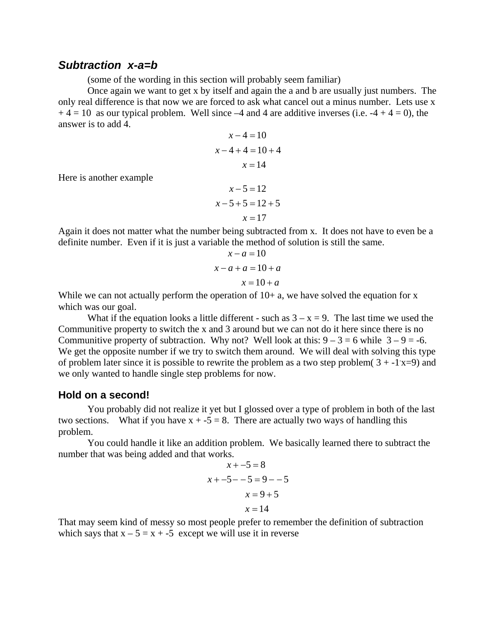#### *Subtraction x-a=b*

Here is another example

(some of the wording in this section will probably seem familiar)

 Once again we want to get x by itself and again the a and b are usually just numbers. The only real difference is that now we are forced to ask what cancel out a minus number. Lets use x  $+ 4 = 10$  as our typical problem. Well since  $-4$  and 4 are additive inverses (i.e.  $-4 + 4 = 0$ ), the answer is to add 4.

$$
x-4=10
$$
  

$$
x-4+4=10+4
$$
  

$$
x = 14
$$
  

$$
x-5=12
$$
  

$$
x-5+5=12+5
$$
  

$$
x = 17
$$

Again it does not matter what the number being subtracted from x. It does not have to even be a definite number. Even if it is just a variable the method of solution is still the same.

$$
x-a=10
$$
  

$$
x-a+a=10+a
$$
  

$$
x=10+a
$$

While we can not actually perform the operation of  $10+$  a, we have solved the equation for x which was our goal.

What if the equation looks a little different - such as  $3 - x = 9$ . The last time we used the Communitive property to switch the x and 3 around but we can not do it here since there is no Communitive property of subtraction. Why not? Well look at this:  $9 - 3 = 6$  while  $3 - 9 = -6$ . We get the opposite number if we try to switch them around. We will deal with solving this type of problem later since it is possible to rewrite the problem as a two step problem( $3 + 1x = 9$ ) and we only wanted to handle single step problems for now.

#### **Hold on a second!**

You probably did not realize it yet but I glossed over a type of problem in both of the last two sections. What if you have  $x + -5 = 8$ . There are actually two ways of handling this problem.

You could handle it like an addition problem. We basically learned there to subtract the number that was being added and that works.

$$
x + -5 = 8
$$
  

$$
x + -5 - -5 = 9 - -5
$$
  

$$
x = 9 + 5
$$
  

$$
x = 14
$$

That may seem kind of messy so most people prefer to remember the definition of subtraction which says that  $x - 5 = x + 5$  except we will use it in reverse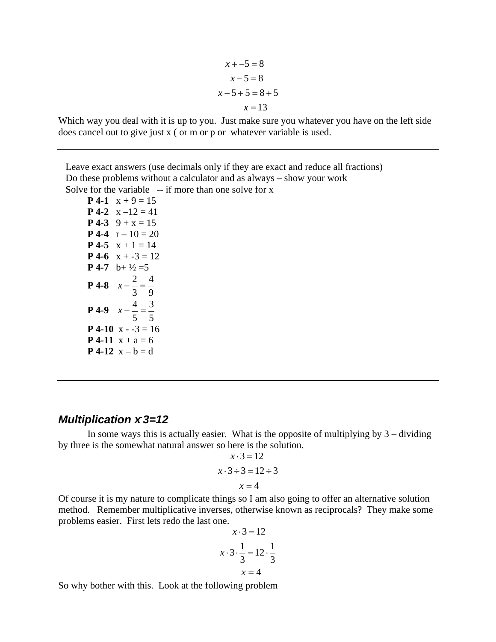$x = 13$  $x-5+5=8+5$  $x - 5 = 8$  $x + -5 = 8$ 

Which way you deal with it is up to you. Just make sure you whatever you have on the left side does cancel out to give just x ( or m or p or whatever variable is used.

 Leave exact answers (use decimals only if they are exact and reduce all fractions) Do these problems without a calculator and as always – show your work Solve for the variable  $-$ - if more than one solve for x

**P** 4-1  $x + 9 = 15$ **P** 4-2  $x - 12 = 41$ **P** 4-3  $9 + x = 15$ **P** 4-4  $r - 10 = 20$ **P** 4-5  $x + 1 = 14$ **P** 4-6  $x + -3 = 12$ **P** 4-7 b+  $\frac{1}{2}$  = 5 **P** 4-8  $x - \frac{2}{3} = \frac{4}{9}$ 3  $x - \frac{2}{3} =$ **P** 4-9  $x - \frac{4}{5} = \frac{3}{5}$ 5  $x - \frac{4}{5} =$ **P** 4-10  $x - 3 = 16$ **P** 4-11  $x + a = 6$ **P** 4-12  $x - b = d$ 

#### *Multiplication x* 3=12

In some ways this is actually easier. What is the opposite of multiplying by  $3 -$  dividing by three is the somewhat natural answer so here is the solution.

$$
x \cdot 3 = 12
$$
  

$$
x \cdot 3 \div 3 = 12 \div 3
$$
  

$$
x = 4
$$

Of course it is my nature to complicate things so I am also going to offer an alternative solution method. Remember multiplicative inverses, otherwise known as reciprocals? They make some problems easier. First lets redo the last one.

$$
x \cdot 3 = 12
$$
  

$$
x \cdot 3 \cdot \frac{1}{3} = 12 \cdot \frac{1}{3}
$$
  

$$
x = 4
$$

So why bother with this. Look at the following problem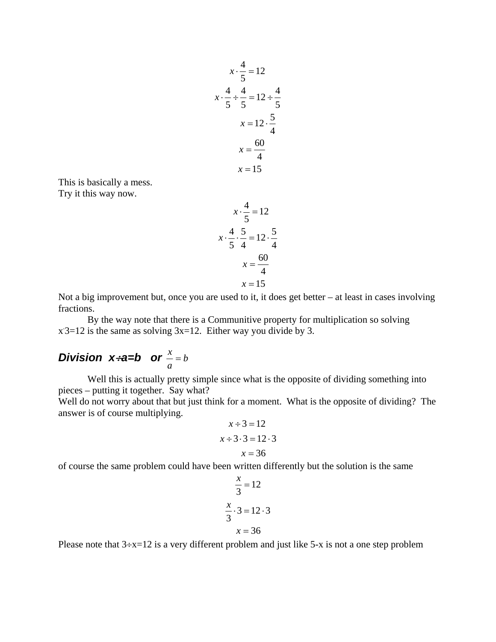$$
x \cdot \frac{4}{5} = 12
$$
  

$$
x \cdot \frac{4}{5} \div \frac{4}{5} = 12 \div \frac{4}{5}
$$
  

$$
x = 12 \cdot \frac{5}{4}
$$
  

$$
x = \frac{60}{4}
$$
  

$$
x = 15
$$

This is basically a mess.

Try it this way now.

$$
x \cdot \frac{4}{5} = 12
$$
  

$$
x \cdot \frac{4}{5} \cdot \frac{5}{4} = 12 \cdot \frac{5}{4}
$$
  

$$
x = \frac{60}{4}
$$
  

$$
x = 15
$$

Not a big improvement but, once you are used to it, it does get better – at least in cases involving fractions.

 By the way note that there is a Communitive property for multiplication so solving  $x 3=12$  is the same as solving  $3x=12$ . Either way you divide by 3.

#### *Division x* $\div$ **a=b** or  $\stackrel{x}{\leftarrow}$ =b *a*  $\frac{x}{x}$  =

 Well this is actually pretty simple since what is the opposite of dividing something into pieces – putting it together. Say what?

Well do not worry about that but just think for a moment. What is the opposite of dividing? The answer is of course multiplying.

$$
x \div 3 = 12
$$
  

$$
x \div 3 \cdot 3 = 12 \cdot 3
$$
  

$$
x = 36
$$

of course the same problem could have been written differently but the solution is the same

$$
\frac{x}{3} = 12
$$
  

$$
\frac{x}{3} \cdot 3 = 12 \cdot 3
$$
  

$$
x = 36
$$

Please note that  $3 \div x = 12$  is a very different problem and just like 5-x is not a one step problem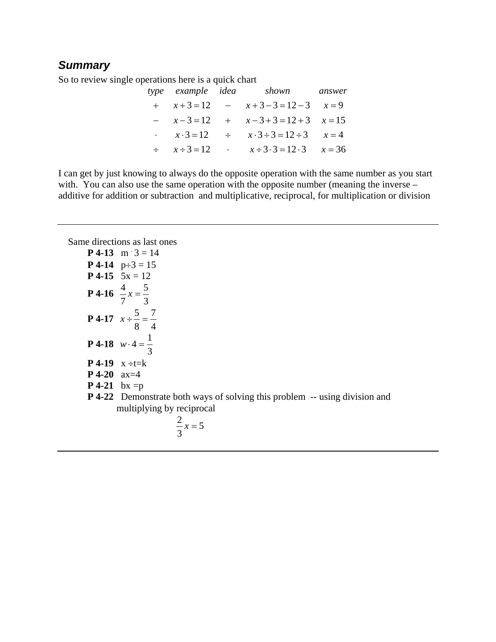#### *Summary*

So to review single operations here is a quick chart

|  | type example idea shown answer                                              |  |
|--|-----------------------------------------------------------------------------|--|
|  | $x+3=12$ $x+3-3=12-3$ $x=9$                                                 |  |
|  | $- x - 3 = 12 + x - 3 + 3 = 12 + 3$ $x = 15$                                |  |
|  | $\therefore$ $x \cdot 3 = 12$ $\div$ $x \cdot 3 \div 3 = 12 \div 3$ $x = 4$ |  |
|  | $\div$ $x \div 3 = 12$ $x \div 3 \cdot 3 = 12 \cdot 3$ $x = 36$             |  |

I can get by just knowing to always do the opposite operation with the same number as you start with. You can also use the same operation with the opposite number (meaning the inverse – additive for addition or subtraction and multiplicative, reciprocal, for multiplication or division

Same directions as last ones

|                      | <b>P</b> 4-13 m $3 = 14$                                                          |
|----------------------|-----------------------------------------------------------------------------------|
|                      | <b>P</b> 4-14 $p \div 3 = 15$                                                     |
|                      | <b>P</b> 4-15 $5x = 12$                                                           |
|                      | <b>P</b> 4-16 $\frac{4}{7}x = \frac{5}{3}$                                        |
|                      | <b>P</b> 4-17 $x \div \frac{5}{8} = \frac{7}{4}$                                  |
|                      | <b>P</b> 4-18 $w \cdot 4 = \frac{1}{3}$                                           |
|                      | <b>P</b> 4-19 $x \div t = k$                                                      |
| <b>P</b> 4-20 $ax=4$ |                                                                                   |
| <b>P</b> 4-21 bx = p |                                                                                   |
|                      | <b>P</b> 4-22 Demonstrate both ways of solving this problem -- using division and |
|                      | multiplying by reciprocal                                                         |

$$
\frac{2}{3}x = 5
$$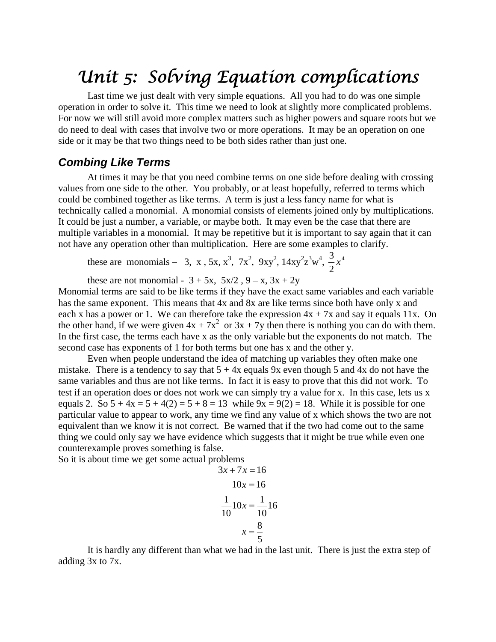### *Unit 5: Solving Equation complications*

 Last time we just dealt with very simple equations. All you had to do was one simple operation in order to solve it. This time we need to look at slightly more complicated problems. For now we will still avoid more complex matters such as higher powers and square roots but we do need to deal with cases that involve two or more operations. It may be an operation on one side or it may be that two things need to be both sides rather than just one.

#### *Combing Like Terms*

 At times it may be that you need combine terms on one side before dealing with crossing values from one side to the other. You probably, or at least hopefully, referred to terms which could be combined together as like terms. A term is just a less fancy name for what is technically called a monomial. A monomial consists of elements joined only by multiplications. It could be just a number, a variable, or maybe both. It may even be the case that there are multiple variables in a monomial. It may be repetitive but it is important to say again that it can not have any operation other than multiplication. Here are some examples to clarify.

these are monomials – 3, x, 5x,  $x^3$ , 7x<sup>2</sup>, 9xy<sup>2</sup>, 14xy<sup>2</sup> $x^3w^4$ ,  $\frac{3}{2}x^4$ 2  $\frac{3}{2}$ *x* 

these are not monomial -  $3 + 5x$ ,  $5x/2$ ,  $9 - x$ ,  $3x + 2y$ 

Monomial terms are said to be like terms if they have the exact same variables and each variable has the same exponent. This means that 4x and 8x are like terms since both have only x and each x has a power or 1. We can therefore take the expression  $4x + 7x$  and say it equals 11x. On the other hand, if we were given  $4x + 7x^2$  or  $3x + 7y$  then there is nothing you can do with them. In the first case, the terms each have x as the only variable but the exponents do not match. The second case has exponents of 1 for both terms but one has x and the other y.

 Even when people understand the idea of matching up variables they often make one mistake. There is a tendency to say that  $5 + 4x$  equals 9x even though 5 and 4x do not have the same variables and thus are not like terms. In fact it is easy to prove that this did not work. To test if an operation does or does not work we can simply try a value for x. In this case, lets us x equals 2. So  $5 + 4x = 5 + 4(2) = 5 + 8 = 13$  while  $9x = 9(2) = 18$ . While it is possible for one particular value to appear to work, any time we find any value of x which shows the two are not equivalent than we know it is not correct. Be warned that if the two had come out to the same thing we could only say we have evidence which suggests that it might be true while even one counterexample proves something is false.

So it is about time we get some actual problems

$$
3x + 7x = 16
$$

$$
10x = 16
$$

$$
\frac{1}{10}10x = \frac{1}{10}16
$$

$$
x = \frac{8}{5}
$$

 It is hardly any different than what we had in the last unit. There is just the extra step of adding 3x to 7x.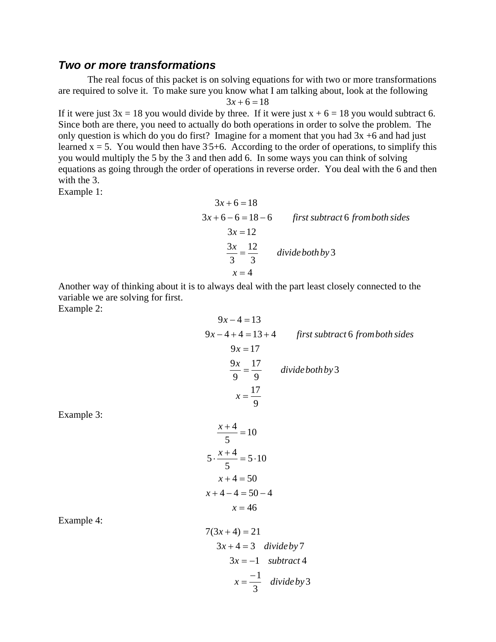#### *Two or more transformations*

 The real focus of this packet is on solving equations for with two or more transformations are required to solve it. To make sure you know what I am talking about, look at the following  $3x + 6 = 18$ 

If it were just  $3x = 18$  you would divide by three. If it were just  $x + 6 = 18$  you would subtract 6. Since both are there, you need to actually do both operations in order to solve the problem. The only question is which do you do first? Imagine for a moment that you had  $3x +6$  and had just learned  $x = 5$ . You would then have  $3.5+6$ . According to the order of operations, to simplify this you would multiply the 5 by the 3 and then add 6. In some ways you can think of solving equations as going through the order of operations in reverse order. You deal with the 6 and then with the 3.

Example 1:

$$
3x + 6 = 18
$$
  
\n
$$
3x + 6 - 6 = 18 - 6
$$
 *first subtract 6 from both sides*  
\n
$$
3x = 12
$$
  
\n
$$
\frac{3x}{3} = \frac{12}{3}
$$
 *divide both by 3*  
\n
$$
x = 4
$$

Another way of thinking about it is to always deal with the part least closely connected to the variable we are solving for first.

Example 2:

$$
9x-4=13
$$
  
\n
$$
9x-4+4=13+4
$$
 *first subtract 6 from both sides*  
\n
$$
9x = 17
$$
  
\n
$$
\frac{9x}{9} = \frac{17}{9}
$$
 *divide both by 3*  
\n
$$
x = \frac{17}{9}
$$
  
\n
$$
\frac{x+4}{5} = 10
$$
  
\n
$$
5 \cdot \frac{x+4}{5} = 5 \cdot 10
$$
  
\n
$$
x+4 = 50
$$
  
\n
$$
x+4-4 = 50-4
$$
  
\n
$$
x = 46
$$
  
\n
$$
7(3x+4) = 21
$$
  
\n
$$
3x+4 = 3
$$
 *divide by 7*

Example 3:

Example 4:

$$
3x + 4 = 21
$$
  
\n
$$
3x + 4 = 3
$$
 *divide by 7*  
\n
$$
3x = -1
$$
 *subtract 4*  
\n
$$
x = \frac{-1}{3}
$$
 *divide by 3*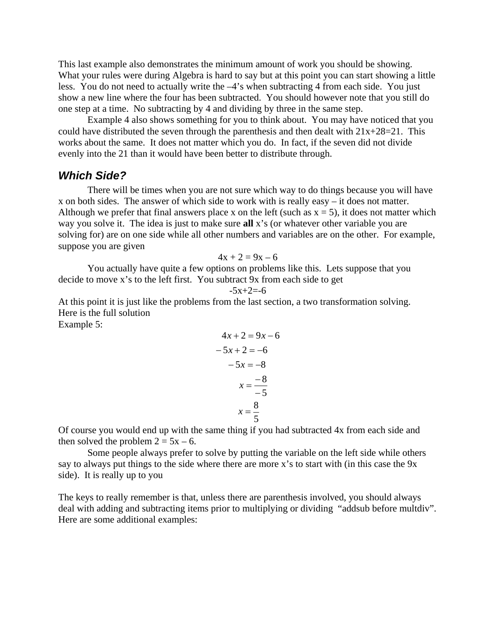This last example also demonstrates the minimum amount of work you should be showing. What your rules were during Algebra is hard to say but at this point you can start showing a little less. You do not need to actually write the –4's when subtracting 4 from each side. You just show a new line where the four has been subtracted. You should however note that you still do one step at a time. No subtracting by 4 and dividing by three in the same step.

 Example 4 also shows something for you to think about. You may have noticed that you could have distributed the seven through the parenthesis and then dealt with  $21x+28=21$ . This works about the same. It does not matter which you do. In fact, if the seven did not divide evenly into the 21 than it would have been better to distribute through.

#### *Which Side?*

 There will be times when you are not sure which way to do things because you will have x on both sides. The answer of which side to work with is really easy – it does not matter. Although we prefer that final answers place x on the left (such as  $x = 5$ ), it does not matter which way you solve it. The idea is just to make sure **all** x's (or whatever other variable you are solving for) are on one side while all other numbers and variables are on the other. For example, suppose you are given

$$
4x + 2 = 9x - 6
$$

 You actually have quite a few options on problems like this. Lets suppose that you decide to move x's to the left first. You subtract 9x from each side to get

$$
-5x+2=-6
$$

At this point it is just like the problems from the last section, a two transformation solving. Here is the full solution

Example 5:

$$
4x + 2 = 9x - 6
$$

$$
-5x + 2 = -6
$$

$$
-5x = -8
$$

$$
x = \frac{-8}{-5}
$$

$$
x = \frac{8}{5}
$$

Of course you would end up with the same thing if you had subtracted 4x from each side and then solved the problem  $2 = 5x - 6$ .

Some people always prefer to solve by putting the variable on the left side while others say to always put things to the side where there are more x's to start with (in this case the 9x side). It is really up to you

The keys to really remember is that, unless there are parenthesis involved, you should always deal with adding and subtracting items prior to multiplying or dividing "addsub before multdiv". Here are some additional examples: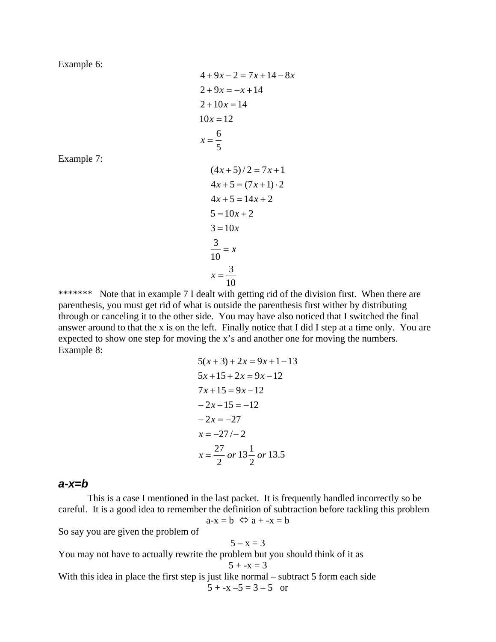Example 6:

Example 7:

$$
4 + 9x - 2 = 7x + 14 - 8x
$$
  
\n
$$
2 + 9x = -x + 14
$$
  
\n
$$
2 + 10x = 14
$$
  
\n
$$
10x = 12
$$
  
\n
$$
x = \frac{6}{5}
$$
  
\n
$$
(4x + 5)/2 = 7x + 1
$$
  
\n
$$
4x + 5 = (7x + 1) \cdot 2
$$
  
\n
$$
4x + 5 = 14x + 2
$$
  
\n
$$
5 = 10x + 2
$$
  
\n
$$
3 = 10x
$$
  
\n
$$
\frac{3}{10} = x
$$
  
\n
$$
x = \frac{3}{10}
$$

10 \*\*\*\*\*\*\* Note that in example 7 I dealt with getting rid of the division first. When there are parenthesis, you must get rid of what is outside the parenthesis first wither by distributing through or canceling it to the other side. You may have also noticed that I switched the final answer around to that the x is on the left. Finally notice that I did I step at a time only. You are expected to show one step for moving the x's and another one for moving the numbers. Example 8:

$$
5(x+3) + 2x = 9x + 1 - 13
$$
  
\n
$$
5x + 15 + 2x = 9x - 12
$$
  
\n
$$
7x + 15 = 9x - 12
$$
  
\n
$$
-2x + 15 = -12
$$
  
\n
$$
-2x = -27
$$
  
\n
$$
x = -27/ - 2
$$
  
\n
$$
x = \frac{27}{2} \text{ or } 13\frac{1}{2} \text{ or } 13.5
$$

#### *a-x=b*

 This is a case I mentioned in the last packet. It is frequently handled incorrectly so be careful. It is a good idea to remember the definition of subtraction before tackling this problem  $a-x = b \Leftrightarrow a + -x = b$ 

So say you are given the problem of

$$
5-x=3
$$

You may not have to actually rewrite the problem but you should think of it as  $5 + -x = 3$ With this idea in place the first step is just like normal – subtract 5 form each side  $5 + -x -5 = 3 - 5$  or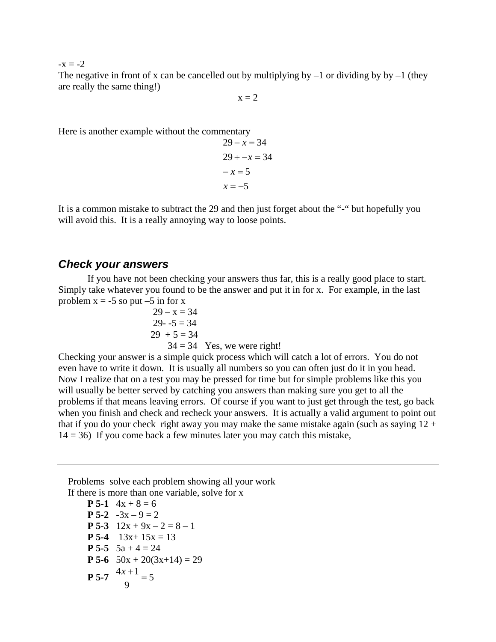$-x = -2$ 

The negative in front of x can be cancelled out by multiplying by  $-1$  or dividing by by  $-1$  (they are really the same thing!)

 $x = 2$ 

Here is another example without the commentary

 $x = -5$  $-x = 5$  $29 + -x = 34$  $29 - x = 34$ 

It is a common mistake to subtract the 29 and then just forget about the "-" but hopefully you will avoid this. It is a really annoying way to loose points.

#### *Check your answers*

 If you have not been checking your answers thus far, this is a really good place to start. Simply take whatever you found to be the answer and put it in for x. For example, in the last problem  $x = -5$  so put  $-5$  in for x

$$
29 - x = 34\n29 - 5 = 34\n29 + 5 = 34\n34 = 34 Yes, we were right!
$$

Checking your answer is a simple quick process which will catch a lot of errors. You do not even have to write it down. It is usually all numbers so you can often just do it in you head. Now I realize that on a test you may be pressed for time but for simple problems like this you will usually be better served by catching you answers than making sure you get to all the problems if that means leaving errors. Of course if you want to just get through the test, go back when you finish and check and recheck your answers. It is actually a valid argument to point out that if you do your check right away you may make the same mistake again (such as saying  $12 +$  $14 = 36$ ) If you come back a few minutes later you may catch this mistake,

 Problems solve each problem showing all your work If there is more than one variable, solve for x

**P** 5-1  $4x + 8 = 6$ **P** 5-2  $-3x - 9 = 2$ **P 5-3**  $12x + 9x - 2 = 8 - 1$ **P** 5-4  $13x+15x = 13$ **P** 5-5  $5a + 4 = 24$ **P 5-6**  $50x + 20(3x+14) = 29$ **P** 5-7  $\frac{4x+1}{x^2} = 5$ 9  $\frac{4x+1}{2}$  =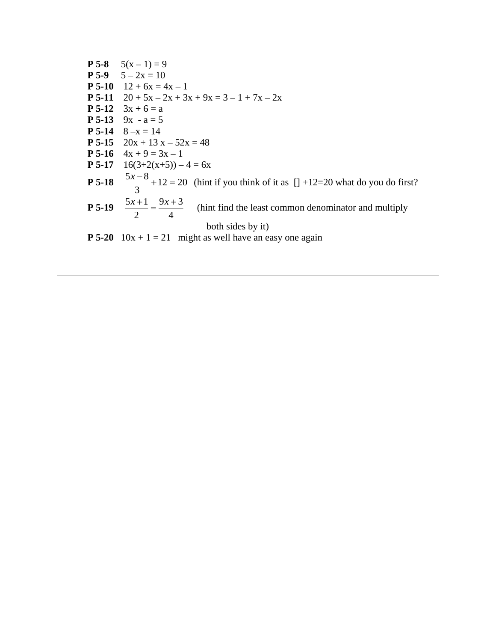| <b>P 5-8</b> $5(x-1) = 9$                                                                            |
|------------------------------------------------------------------------------------------------------|
| <b>P</b> 5-9 $5-2x = 10$                                                                             |
| <b>P</b> 5-10 $12 + 6x = 4x - 1$                                                                     |
| <b>P</b> 5-11 $20 + 5x - 2x + 3x + 9x = 3 - 1 + 7x - 2x$                                             |
| <b>P</b> 5-12 $3x + 6 = a$                                                                           |
| <b>P</b> 5-13 $9x - a = 5$                                                                           |
| <b>P</b> 5-14 $8 - x = 14$                                                                           |
| <b>P 5-15</b> $20x + 13x - 52x = 48$                                                                 |
| <b>P</b> 5-16 $4x + 9 = 3x - 1$                                                                      |
| <b>P 5-17</b> $16(3+2(x+5)) - 4 = 6x$                                                                |
| <b>P 5-18</b> $\frac{5x-8}{3}+12=20$ (hint if you think of it as [] +12=20 what do you do first?     |
| <b>P 5-19</b> $\frac{5x+1}{2} = \frac{9x+3}{4}$ (hint find the least common denominator and multiply |
| both sides by it)                                                                                    |
| <b>P</b> 5-20 $10x + 1 = 21$ might as well have an easy one again                                    |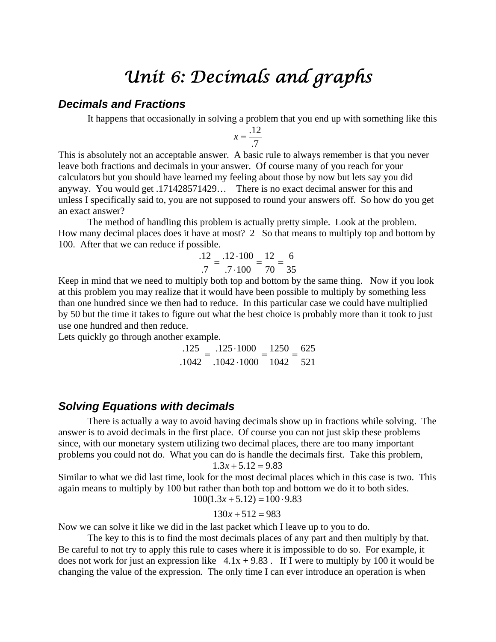### *Unit 6: Decimals and graphs*

#### *Decimals and Fractions*

It happens that occasionally in solving a problem that you end up with something like this

$$
x = \frac{.12}{.7}
$$

This is absolutely not an acceptable answer. A basic rule to always remember is that you never leave both fractions and decimals in your answer. Of course many of you reach for your calculators but you should have learned my feeling about those by now but lets say you did anyway. You would get .171428571429… There is no exact decimal answer for this and unless I specifically said to, you are not supposed to round your answers off. So how do you get an exact answer?

 The method of handling this problem is actually pretty simple. Look at the problem. How many decimal places does it have at most? 2 So that means to multiply top and bottom by 100. After that we can reduce if possible.

$$
\frac{.12}{.7} = \frac{.12 \cdot 100}{.7 \cdot 100} = \frac{12}{70} = \frac{6}{35}
$$

Keep in mind that we need to multiply both top and bottom by the same thing. Now if you look at this problem you may realize that it would have been possible to multiply by something less than one hundred since we then had to reduce. In this particular case we could have multiplied by 50 but the time it takes to figure out what the best choice is probably more than it took to just use one hundred and then reduce.

Lets quickly go through another example.

| .125  | $.125 \cdot 1000$  | 1250 625 | =- |
|-------|--------------------|----------|----|
| .1042 | $.1042 \cdot 1000$ | 1042 521 |    |

#### *Solving Equations with decimals*

 There is actually a way to avoid having decimals show up in fractions while solving. The answer is to avoid decimals in the first place. Of course you can not just skip these problems since, with our monetary system utilizing two decimal places, there are too many important problems you could not do. What you can do is handle the decimals first. Take this problem,  $1.3x + 5.12 = 9.83$ 

Similar to what we did last time, look for the most decimal places which in this case is two. This again means to multiply by 100 but rather than both top and bottom we do it to both sides.  $100(1.3x + 5.12) = 100 \cdot 9.83$ 

$$
130x + 512 = 983
$$

Now we can solve it like we did in the last packet which I leave up to you to do.

 The key to this is to find the most decimals places of any part and then multiply by that. Be careful to not try to apply this rule to cases where it is impossible to do so. For example, it does not work for just an expression like  $4.1x + 9.83$ . If I were to multiply by 100 it would be changing the value of the expression. The only time I can ever introduce an operation is when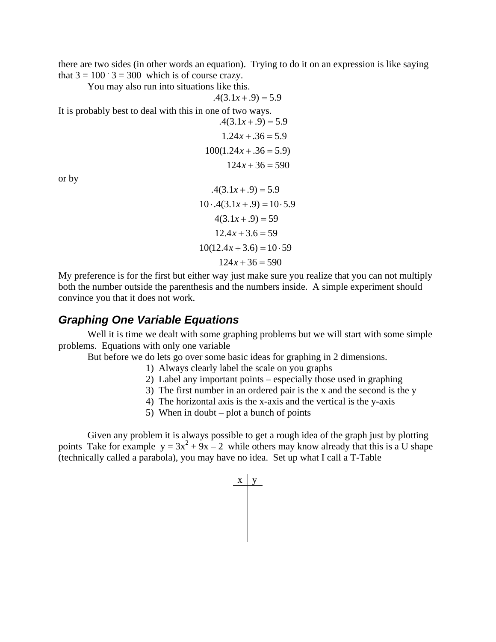there are two sides (in other words an equation). Trying to do it on an expression is like saying that  $3 = 100$   $3 = 300$  which is of course crazy.

You may also run into situations like this.

$$
.4(3.1x + .9) = 5.9
$$

It is probably best to deal with this in one of two ways.

$$
.4(3.1x + .9) = 5.9
$$

$$
1.24x + .36 = 5.9
$$

$$
100(1.24x + .36 = 5.9)
$$

$$
124x + 36 = 590
$$

or by

 $124x + 36 = 590$  $10(12.4x + 3.6) = 10.59$  $12.4x + 3.6 = 59$  $4(3.1x + .9) = 59$  $10 \cdot .4(3.1x + .9) = 10 \cdot 5.9$  $.4(3.1x + .9) = 5.9$ 

My preference is for the first but either way just make sure you realize that you can not multiply both the number outside the parenthesis and the numbers inside. A simple experiment should convince you that it does not work.

#### *Graphing One Variable Equations*

Well it is time we dealt with some graphing problems but we will start with some simple problems. Equations with only one variable

But before we do lets go over some basic ideas for graphing in 2 dimensions.

- 1) Always clearly label the scale on you graphs
- 2) Label any important points especially those used in graphing
- 3) The first number in an ordered pair is the x and the second is the y
- 4) The horizontal axis is the x-axis and the vertical is the y-axis
- 5) When in doubt plot a bunch of points

Given any problem it is always possible to get a rough idea of the graph just by plotting points Take for example  $y = 3x^2 + 9x - 2$  while others may know already that this is a U shape (technically called a parabola), you may have no idea. Set up what I call a T-Table

$$
\begin{array}{c|c}\nx & y\n\end{array}
$$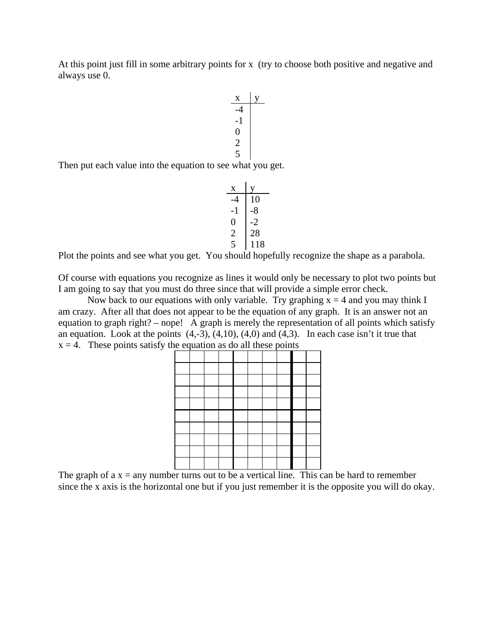At this point just fill in some arbitrary points for x (try to choose both positive and negative and always use 0.



Then put each value into the equation to see what you get.

x y -4 10 -1 -8 0 -2 2 28 5 118

Plot the points and see what you get. You should hopefully recognize the shape as a parabola.

Of course with equations you recognize as lines it would only be necessary to plot two points but I am going to say that you must do three since that will provide a simple error check.

Now back to our equations with only variable. Try graphing  $x = 4$  and you may think I am crazy. After all that does not appear to be the equation of any graph. It is an answer not an equation to graph right? – nope! A graph is merely the representation of all points which satisfy an equation. Look at the points  $(4,-3)$ ,  $(4,10)$ ,  $(4,0)$  and  $(4,3)$ . In each case isn't it true that  $x = 4$ . These points satisfy the equation as do all these points



The graph of  $a x = any number turns out to be a vertical line. This can be hard to remember$ since the x axis is the horizontal one but if you just remember it is the opposite you will do okay.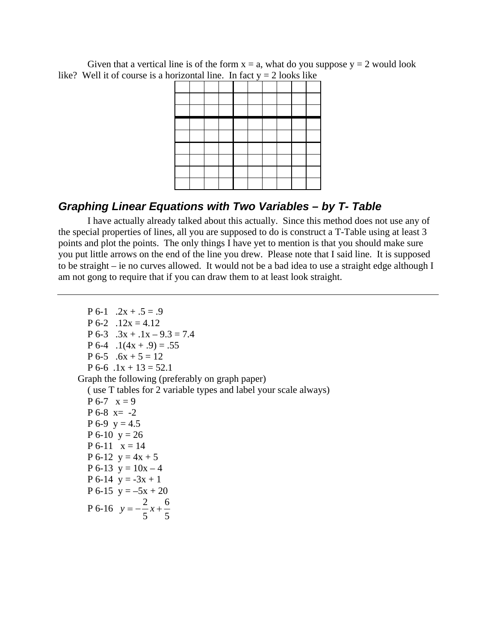Given that a vertical line is of the form  $x = a$ , what do you suppose  $y = 2$  would look like? Well it of course is a horizontal line. In fact  $y = 2$  looks like

| of Equation into $\frac{1}{2}$ of $\frac{1}{2}$ of $\frac{1}{2}$ from $\frac{1}{2}$ |  |  |  |  |  |
|-------------------------------------------------------------------------------------|--|--|--|--|--|
|                                                                                     |  |  |  |  |  |
|                                                                                     |  |  |  |  |  |
|                                                                                     |  |  |  |  |  |
|                                                                                     |  |  |  |  |  |
|                                                                                     |  |  |  |  |  |
|                                                                                     |  |  |  |  |  |
|                                                                                     |  |  |  |  |  |
|                                                                                     |  |  |  |  |  |
|                                                                                     |  |  |  |  |  |

#### *Graphing Linear Equations with Two Variables – by T- Table*

 I have actually already talked about this actually. Since this method does not use any of the special properties of lines, all you are supposed to do is construct a T-Table using at least 3 points and plot the points. The only things I have yet to mention is that you should make sure you put little arrows on the end of the line you drew. Please note that I said line. It is supposed to be straight – ie no curves allowed. It would not be a bad idea to use a straight edge although I am not gong to require that if you can draw them to at least look straight.

 $P 6-1$  .  $2x + .5 = .9$  $P 6-2$  .12x = 4.12 P 6-3  $.3x + .1x - 9.3 = 7.4$  $P 6-4$  .  $1(4x + .9) = .55$ P 6-5  $.6x + 5 = 12$  $P 6-6 1x + 13 = 52.1$  Graph the following (preferably on graph paper) ( use T tables for 2 variable types and label your scale always)  $P 6-7 x = 9$  $P 6-8 = -2$  $P 6-9 y = 4.5$  $P 6-10 y = 26$  $P 6-11 x = 14$ P 6-12  $y = 4x + 5$ P 6-13  $y = 10x - 4$ P 6-14  $y = -3x + 1$ P 6-15  $y = -5x + 20$ P 6-16 5 6 5  $y = -\frac{2}{x}x +$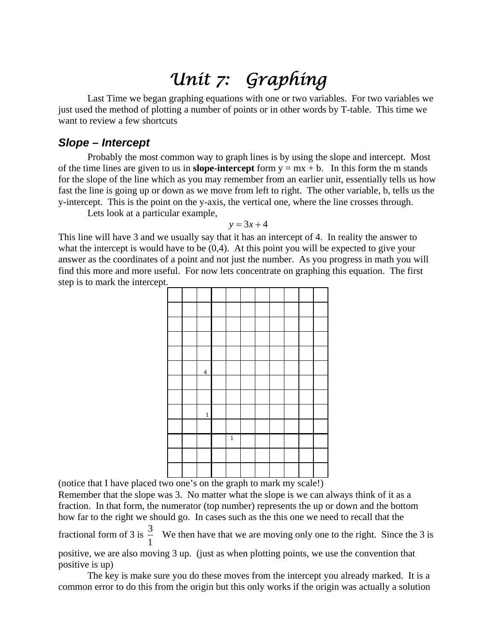### *Unit 7: Graphing*

 Last Time we began graphing equations with one or two variables. For two variables we just used the method of plotting a number of points or in other words by T-table. This time we want to review a few shortcuts

#### *Slope – Intercept*

 Probably the most common way to graph lines is by using the slope and intercept. Most of the time lines are given to us in **slope-intercept** form  $y = mx + b$ . In this form the m stands for the slope of the line which as you may remember from an earlier unit, essentially tells us how fast the line is going up or down as we move from left to right. The other variable, b, tells us the y-intercept. This is the point on the y-axis, the vertical one, where the line crosses through.

Lets look at a particular example,

$$
y = 3x + 4
$$

This line will have 3 and we usually say that it has an intercept of 4. In reality the answer to what the intercept is would have to be  $(0,4)$ . At this point you will be expected to give your answer as the coordinates of a point and not just the number. As you progress in math you will find this more and more useful. For now lets concentrate on graphing this equation. The first step is to mark the intercept.



(notice that I have placed two one's on the graph to mark my scale!)

Remember that the slope was 3. No matter what the slope is we can always think of it as a fraction. In that form, the numerator (top number) represents the up or down and the bottom how far to the right we should go. In cases such as the this one we need to recall that the fractional form of 3 is 1  $\frac{3}{7}$  We then have that we are moving only one to the right. Since the 3 is positive, we are also moving 3 up. (just as when plotting points, we use the convention that positive is up)

 The key is make sure you do these moves from the intercept you already marked. It is a common error to do this from the origin but this only works if the origin was actually a solution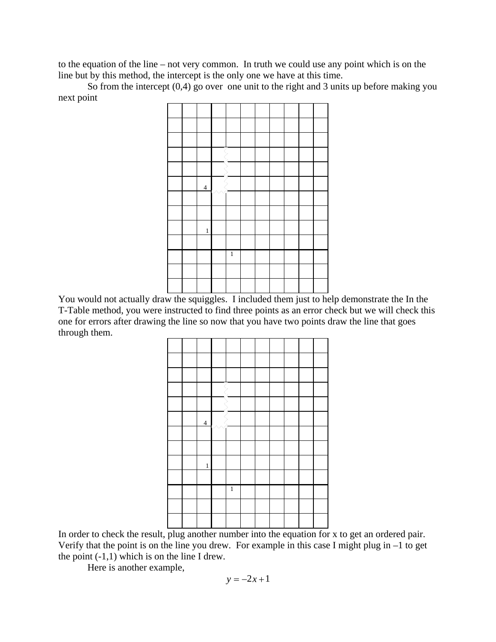to the equation of the line – not very common. In truth we could use any point which is on the line but by this method, the intercept is the only one we have at this time.

 So from the intercept (0,4) go over one unit to the right and 3 units up before making you next point

|  | $\overline{\mathcal{L}}$ |   |  |  |  |
|--|--------------------------|---|--|--|--|
|  |                          |   |  |  |  |
|  |                          |   |  |  |  |
|  | $\,1$                    |   |  |  |  |
|  |                          |   |  |  |  |
|  |                          | 1 |  |  |  |
|  |                          |   |  |  |  |
|  |                          |   |  |  |  |

You would not actually draw the squiggles. I included them just to help demonstrate the In the T-Table method, you were instructed to find three points as an error check but we will check this one for errors after drawing the line so now that you have two points draw the line that goes through them.

|  | $\overline{4}$ |   |  |  |  |
|--|----------------|---|--|--|--|
|  |                |   |  |  |  |
|  |                |   |  |  |  |
|  | $\,1$          |   |  |  |  |
|  |                |   |  |  |  |
|  |                | 1 |  |  |  |
|  |                |   |  |  |  |
|  |                |   |  |  |  |

In order to check the result, plug another number into the equation for x to get an ordered pair. Verify that the point is on the line you drew. For example in this case I might plug in –1 to get the point  $(-1,1)$  which is on the line I drew.

Here is another example,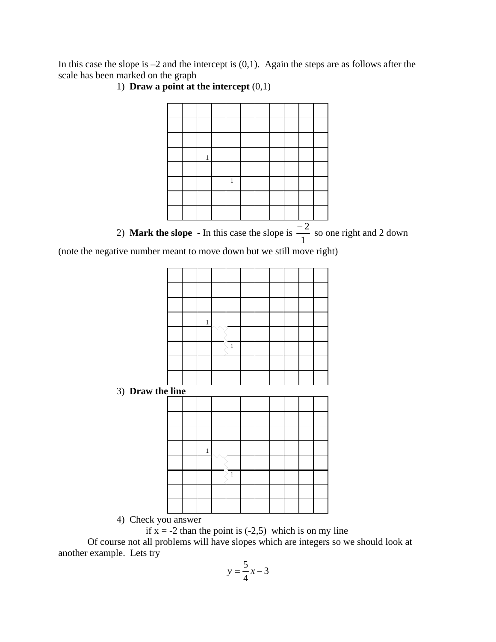In this case the slope is  $-2$  and the intercept is  $(0,1)$ . Again the steps are as follows after the scale has been marked on the graph



1) **Draw a point at the intercept** (0,1)

4) Check you answer

if  $x = -2$  than the point is  $(-2,5)$  which is on my line

 Of course not all problems will have slopes which are integers so we should look at another example. Lets try

$$
y = \frac{5}{4}x - 3
$$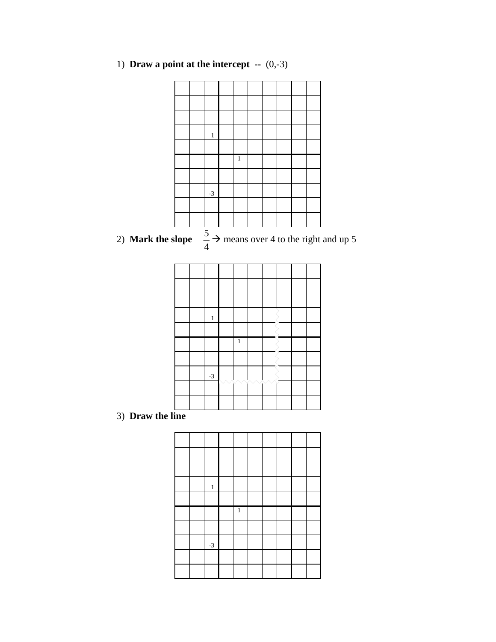1) **Draw a point at the intercept --** (0,-3)



|  | $\mathbf{1}$ |   |  |  |  |
|--|--------------|---|--|--|--|
|  |              |   |  |  |  |
|  |              |   |  |  |  |
|  |              | 1 |  |  |  |
|  |              |   |  |  |  |
|  | $-3$         |   |  |  |  |
|  |              |   |  |  |  |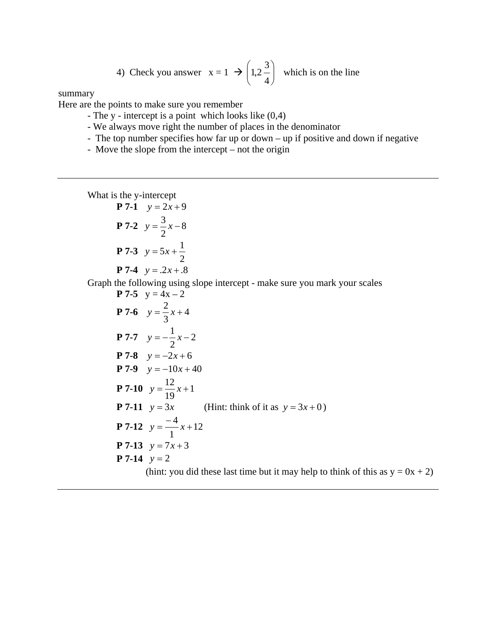4) Check you answer 
$$
x = 1 \rightarrow \left(1, 2\frac{3}{4}\right)
$$
 which is on the line

summary

Here are the points to make sure you remember

- The y intercept is a point which looks like (0,4)
- We always move right the number of places in the denominator
- The top number specifies how far up or down up if positive and down if negative
- Move the slope from the intercept not the origin

What is the y-intercept

P 7-1 
$$
y=2x+9
$$
  
P 7-2  $y=\frac{3}{2}x-8$   
P 7-3  $y=5x+\frac{1}{2}$   
P 7-4  $y=0.2x+0.8$ 

Graph the following using slope intercept - make sure you mark your scales

P 7-5 
$$
y = 4x-2
$$
  
\nP 7-6  $y = \frac{2}{3}x+4$   
\nP 7-7  $y = -\frac{1}{2}x-2$   
\nP 7-8  $y = -2x+6$   
\nP 7-9  $y = -10x+40$   
\nP 7-10  $y = \frac{12}{19}x+1$   
\nP 7-11  $y = 3x$  (Hint: think of it as  $y = 3x+0$ )  
\nP 7-12  $y = \frac{-4}{1}x+12$   
\nP 7-13  $y = 7x+3$   
\nP 7-14  $y = 2$  (hint: you did these last time but it may help to think of this as  $y = 0x + 2$ )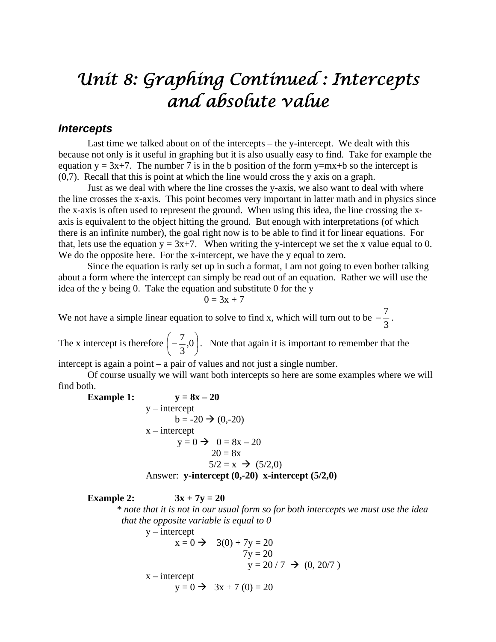### *Unit 8: Graphing Continued : Intercepts and absolute value*

#### *Intercepts*

 Last time we talked about on of the intercepts – the y-intercept. We dealt with this because not only is it useful in graphing but it is also usually easy to find. Take for example the equation  $y = 3x+7$ . The number 7 is in the b position of the form  $y=mx+b$  so the intercept is (0,7). Recall that this is point at which the line would cross the y axis on a graph.

 Just as we deal with where the line crosses the y-axis, we also want to deal with where the line crosses the x-axis. This point becomes very important in latter math and in physics since the x-axis is often used to represent the ground. When using this idea, the line crossing the xaxis is equivalent to the object hitting the ground. But enough with interpretations (of which there is an infinite number), the goal right now is to be able to find it for linear equations. For that, lets use the equation  $y = 3x+7$ . When writing the y-intercept we set the x value equal to 0. We do the opposite here. For the x-intercept, we have the y equal to zero.

 Since the equation is rarly set up in such a format, I am not going to even bother talking about a form where the intercept can simply be read out of an equation. Rather we will use the idea of the y being 0. Take the equation and substitute 0 for the y

$$
0=3x+7
$$

We not have a simple linear equation to solve to find x, which will turn out to be  $-\frac{7}{3}$ .

The x intercept is therefore  $\left[-\frac{7}{2},0\right]$ J  $\left(-\frac{7}{2},0\right)$  $\setminus$  $\begin{pmatrix} 7 \\ -2.0 \end{pmatrix}$ 3  $\left(\frac{7}{6}, 0\right)$ . Note that again it is important to remember that the

intercept is again a point – a pair of values and not just a single number.

 Of course usually we will want both intercepts so here are some examples where we will find both.

Example 1:  
\n
$$
y = 8x - 20
$$
\n
$$
b = -20 \rightarrow (0, -20)
$$
\n
$$
x - intercept
$$
\n
$$
y = 0 \rightarrow 0 = 8x - 20
$$
\n
$$
20 = 8x
$$
\n
$$
5/2 = x \rightarrow (5/2, 0)
$$
\nAnswer: y-intercept (0, -20) x-intercept (5/2, 0)

**Example 2:**  $3x + 7y = 20$ 

 *\* note that it is not in our usual form so for both intercepts we must use the idea that the opposite variable is equal to 0*  $v =$ intercent

$$
x = 0 \implies 3(0) + 7y = 20
$$
  
\n
$$
7y = 20
$$
  
\n
$$
y = 20 / 7 \implies (0, 20/7)
$$
  
\n
$$
x = \text{intercept}
$$
  
\n
$$
y = 0 \implies 3x + 7 (0) = 20
$$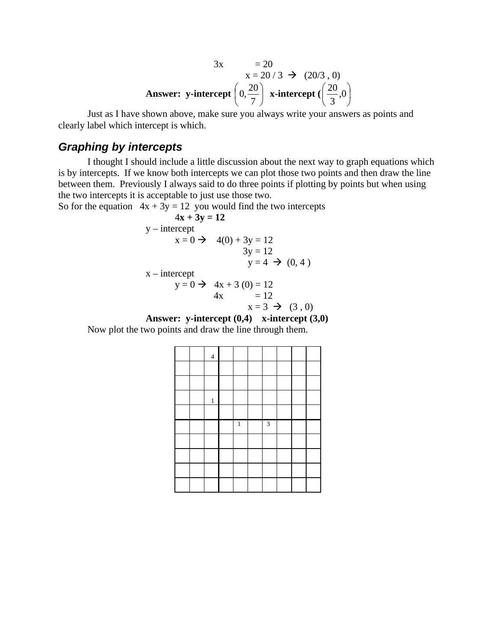$$
3x = 20
$$
  
x = 20/3  $\rightarrow$  (20/3, 0)  
Answer: y-intercept  $\left(0, \frac{20}{7}\right)$  x-intercept  $\left(\frac{20}{3}, 0\right)$ 

 Just as I have shown above, make sure you always write your answers as points and clearly label which intercept is which.

#### *Graphing by intercepts*

 I thought I should include a little discussion about the next way to graph equations which is by intercepts. If we know both intercepts we can plot those two points and then draw the line between them. Previously I always said to do three points if plotting by points but when using the two intercepts it is acceptable to just use those two.

So for the equation  $4x + 3y = 12$  you would find the two intercepts

$$
4x + 3y = 12
$$
  
y - intercept  
x = 0  $\rightarrow$  4(0) + 3y = 12  
3y = 12  
y = 4  $\rightarrow$  (0, 4)

$$
y = 0 \implies 4x + 3 (0) = 12
$$
  
4x = 12  

$$
x = 3 \implies (3, 0)
$$

**Answer: y-intercept (0,4) x-intercept (3,0)**  Now plot the two points and draw the line through them.

|  | $\overline{4}$ |              |   |  |  |
|--|----------------|--------------|---|--|--|
|  |                |              |   |  |  |
|  |                |              |   |  |  |
|  | $\mathbf{1}$   |              |   |  |  |
|  |                |              |   |  |  |
|  |                |              |   |  |  |
|  |                | $\mathbf{1}$ | 3 |  |  |
|  |                |              |   |  |  |
|  |                |              |   |  |  |
|  |                |              |   |  |  |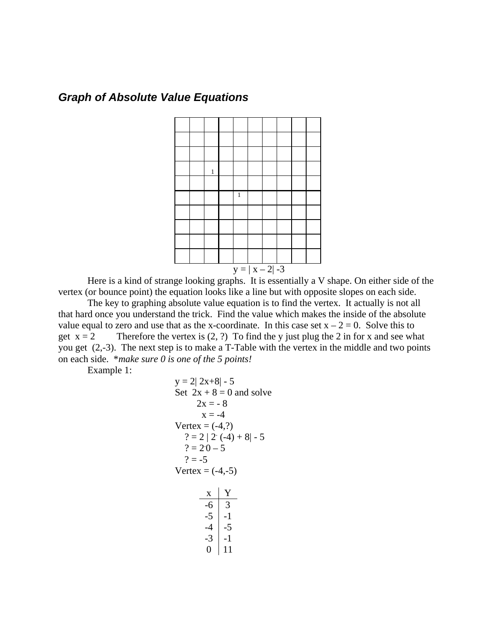#### *Graph of Absolute Value Equations*



 Here is a kind of strange looking graphs. It is essentially a V shape. On either side of the vertex (or bounce point) the equation looks like a line but with opposite slopes on each side.

 The key to graphing absolute value equation is to find the vertex. It actually is not all that hard once you understand the trick. Find the value which makes the inside of the absolute value equal to zero and use that as the x-coordinate. In this case set  $x - 2 = 0$ . Solve this to get  $x = 2$  Therefore the vertex is  $(2, ?)$  To find the y just plug the 2 in for x and see what you get (2,-3). The next step is to make a T-Table with the vertex in the middle and two points on each side. \**make sure 0 is one of the 5 points!*

Example 1:

y = 2| 2x+8|-5  
\nSet 2x + 8 = 0 and solve  
\n2x = -8  
\nx = -4  
\nVertex = (-4,?)  
\n? = 2 | 2 (-4) + 8| - 5  
\n? = 20 - 5  
\n? = -5  
\nVertex = (-4,-5)  
\n
$$
\frac{x}{-6} = \frac{Y}{3}
$$
\n
$$
-5 = \frac{Y}{-1}
$$
\n
$$
-4 = \frac{-4}{-5}
$$
\n
$$
-3 = \frac{-3}{-1}
$$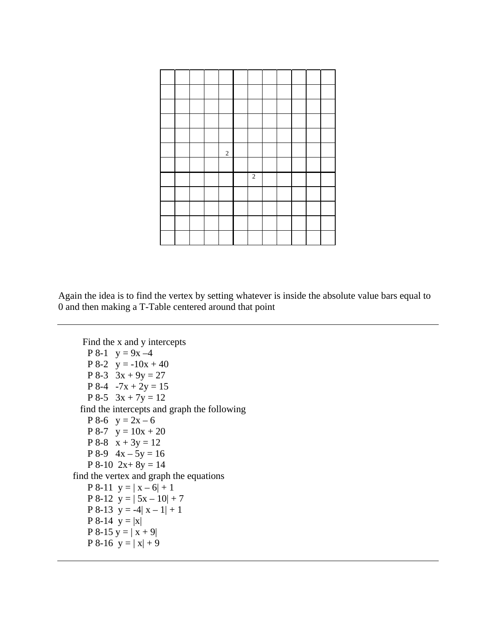|  |  | $\sqrt{2}$ |                  |  |  |  |
|--|--|------------|------------------|--|--|--|
|  |  |            |                  |  |  |  |
|  |  |            | $\boldsymbol{2}$ |  |  |  |
|  |  |            |                  |  |  |  |
|  |  |            |                  |  |  |  |
|  |  |            |                  |  |  |  |
|  |  |            |                  |  |  |  |

Again the idea is to find the vertex by setting whatever is inside the absolute value bars equal to 0 and then making a T-Table centered around that point

 Find the x and y intercepts  $P 8-1 y = 9x - 4$ P 8-2  $y = -10x + 40$ P 8-3  $3x + 9y = 27$ P 8-4  $-7x + 2y = 15$ P 8-5  $3x + 7y = 12$  find the intercepts and graph the following P 8-6  $y = 2x - 6$ P 8-7  $y = 10x + 20$  $P 8-8 \times x + 3y = 12$ P 8-9  $4x - 5y = 16$ P 8-10  $2x+8y = 14$  find the vertex and graph the equations P 8-11  $y = |x - 6| + 1$ P 8-12  $y = | 5x - 10 | + 7$ P 8-13  $y = -4|x - 1| + 1$ **P** 8-14  $y = |x|$ P 8-15  $y = |x + 9|$ P 8-16  $y = |x| + 9$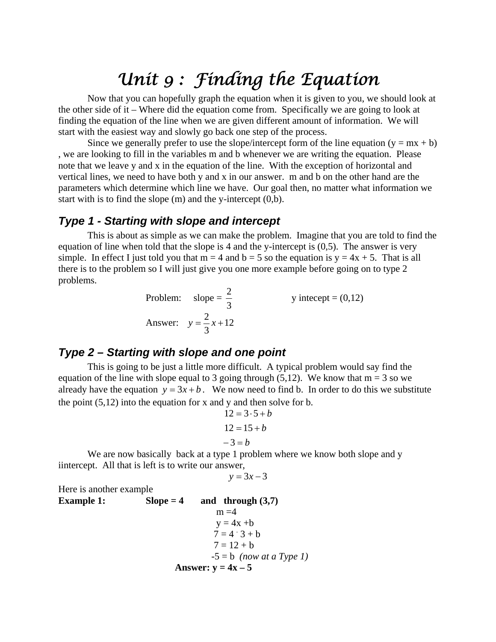### *Unit 9 : Finding the Equation*

 Now that you can hopefully graph the equation when it is given to you, we should look at the other side of it – Where did the equation come from. Specifically we are going to look at finding the equation of the line when we are given different amount of information. We will start with the easiest way and slowly go back one step of the process.

Since we generally prefer to use the slope/intercept form of the line equation  $(y = mx + b)$ , we are looking to fill in the variables m and b whenever we are writing the equation. Please note that we leave y and x in the equation of the line. With the exception of horizontal and vertical lines, we need to have both y and x in our answer. m and b on the other hand are the parameters which determine which line we have. Our goal then, no matter what information we start with is to find the slope (m) and the y-intercept (0,b).

#### *Type 1 - Starting with slope and intercept*

 This is about as simple as we can make the problem. Imagine that you are told to find the equation of line when told that the slope is 4 and the y-intercept is  $(0,5)$ . The answer is very simple. In effect I just told you that  $m = 4$  and  $b = 5$  so the equation is  $y = 4x + 5$ . That is all there is to the problem so I will just give you one more example before going on to type 2 problems.

Problem: slope =  $\frac{2}{3}$ y intecept =  $(0,12)$ Answer:  $y = \frac{2}{3}x + 12$ 3  $y = \frac{2}{3}x +$ 

#### *Type 2 – Starting with slope and one point*

 This is going to be just a little more difficult. A typical problem would say find the equation of the line with slope equal to 3 going through (5,12). We know that  $m = 3$  so we already have the equation  $y = 3x + b$ . We now need to find b. In order to do this we substitute the point  $(5,12)$  into the equation for x and y and then solve for b.

$$
12 = 3 \cdot 5 + b
$$

$$
12 = 15 + b
$$

$$
-3 = b
$$

We are now basically back at a type 1 problem where we know both slope and y iintercept. All that is left is to write our answer,

$$
y = 3x - 3
$$

Here is another example **Example 1: Slope = 4 and through (3,7)** 

Example 1. Solve the following equation:  
\n
$$
my = 4x + b
$$
\n
$$
7 = 4 \cdot 3 + b
$$
\n
$$
7 = 12 + b
$$
\n
$$
-5 = b \text{ (now at a Type I)}
$$
\n
$$
y = 4x - 5
$$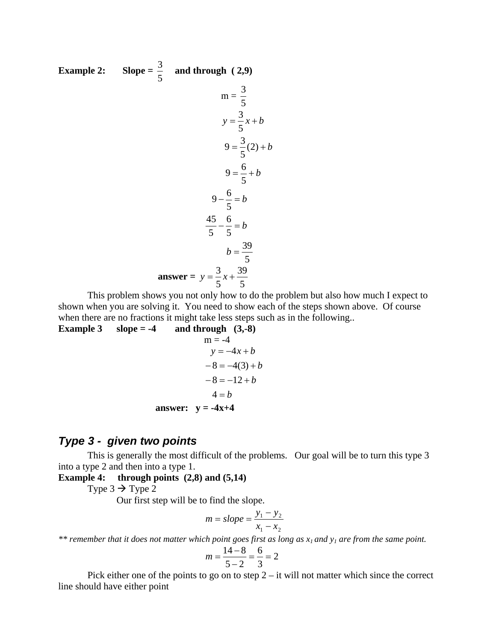Example 2: Slope = 
$$
\frac{3}{5}
$$
 and through (2,9)  
\n
$$
m = \frac{3}{5}
$$
\n
$$
y = \frac{3}{5}x + b
$$
\n
$$
9 = \frac{3}{5}(2) + b
$$
\n
$$
9 = \frac{6}{5} + b
$$
\n
$$
9 - \frac{6}{5} = b
$$
\n
$$
\frac{45}{5} - \frac{6}{5} = b
$$
\n
$$
b = \frac{39}{5}
$$
\n
$$
b = \frac{39}{5}
$$

This problem shows you not only how to do the problem but also how much I expect to shown when you are solving it. You need to show each of the steps shown above. Of course when there are no fractions it might take less steps such as in the following..

**Example 3** slope  $= -4$  and through  $(3,-8)$  $m = -4$  $-8 = -12 + b$  $-8 = -4(3) + b$  $y = -4x + b$ 

$$
4 = b
$$
  
answer:  $y = -4x+4$ 

#### *Type 3 - given two points*

 This is generally the most difficult of the problems. Our goal will be to turn this type 3 into a type 2 and then into a type 1.

**Example 4: through points (2,8) and (5,14)**

Type  $3 \rightarrow$  Type 2

Our first step will be to find the slope.

$$
m = slope = \frac{y_1 - y_2}{x_1 - x_2}
$$

*\*\* remember that it does not matter which point goes first as long as x1 and y1 are from the same point.* 

$$
m = \frac{14 - 8}{5 - 2} = \frac{6}{3} = 2
$$

Pick either one of the points to go on to step  $2 - it$  will not matter which since the correct line should have either point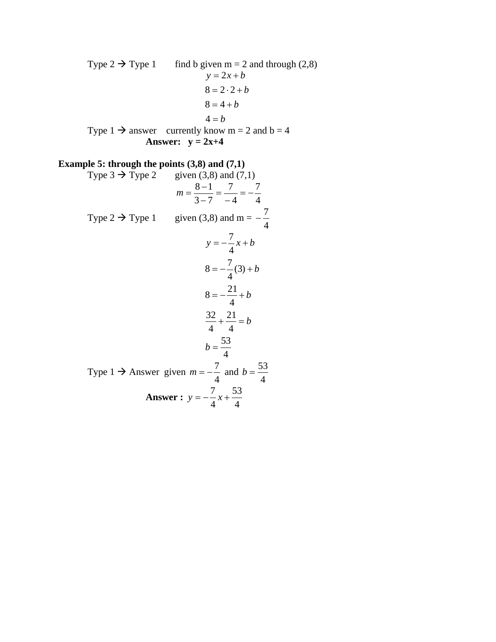Type  $2 \rightarrow$  Type 1 find b given m = 2 and through (2,8)  $4 = b$  $8 = 4 + b$  $8 = 2 \cdot 2 + b$  $y = 2x + b$ Type  $1 \rightarrow$  answer currently know m = 2 and b = 4 Answer:  $y = 2x+4$ 

### **Example 5: through the points (3,8) and (7,1)**<br>Type  $3 \rightarrow$  Type 2 given (3,8) and (7,

given  $(3,8)$  and  $(7,1)$  $m = \frac{8-1}{3-7} = \frac{7}{-4} = -\frac{7}{4}$ 4 7  $m = \frac{8-1}{3-7} = \frac{7}{-4} = -$ Type 2  $\rightarrow$  Type 1 given (3,8) and m =  $-\frac{7}{4}$ 4  $b = \frac{53}{4}$ 4 21 4  $\frac{32}{4} + \frac{21}{4} = b$ 4  $8 = -\frac{21}{b} + b$  $8 = -\frac{7}{4}(3) + b$ 4  $y = -\frac{7}{4}x + b$ Type 1  $\rightarrow$  Answer given  $m = -\frac{7}{4}$  and 4  $b = \frac{53}{4}$  **Answer :**  4 53 4  $y = -\frac{7}{x} + \frac{7}{x}$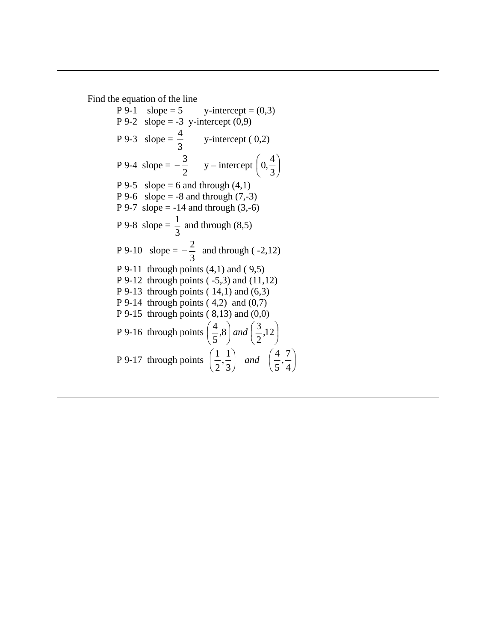Find the equation of the line

 $P 9-1$  slope = 5 y-intercept = (0,3) P 9-2 slope = -3 y-intercept  $(0,9)$ P 9-3 slope =  $\frac{4}{3}$  y-intercept (0,2) P 9-4 slope =  $-\frac{3}{2}$  y – intercept  $\left(0, \frac{4}{3}\right)$ J  $\left(0,\frac{4}{3}\right)$  $\setminus$ ſ 3  $0, \frac{4}{5}$ P 9-5 slope = 6 and through  $(4,1)$ P 9-6 slope = -8 and through  $(7,-3)$ P 9-7 slope = -14 and through  $(3,-6)$ P 9-8 slope =  $\frac{1}{3}$  and through (8,5) P 9-10 slope =  $-\frac{2}{3}$  and through (-2,12) P 9-11 through points  $(4,1)$  and  $(9,5)$ P 9-12 through points ( -5,3) and (11,12) P 9-13 through points  $(14,1)$  and  $(6,3)$ P 9-14 through points  $(4,2)$  and  $(0,7)$ P 9-15 through points  $(8,13)$  and  $(0,0)$ P 9-16 through points  $\left|\frac{1}{6}, 8\right|$  and  $\left|\frac{3}{6}, 12\right|$ J  $\left(\frac{3}{2},12\right)$ L  $\Big|$  and  $\Big|$ J  $\left(\frac{4}{5}, 8\right)$  $\setminus$  $\left(\frac{4}{5},8\right)$  and  $\left(\frac{3}{5},12\right)$ 2  $\binom{3}{8}$  and  $\binom{3}{5}$ 5  $\left(\frac{4}{5}, 8\right)$  and P 9-17 through points  $\left|\frac{1}{2}, \frac{1}{2}\right|$  and  $\left|\frac{1}{2}, \frac{1}{2}\right|$ J  $\left(\frac{4}{7},\frac{7}{4}\right)$  $\setminus$  $\Big|$  and  $\Big|$ J  $\left(\frac{1}{2},\frac{1}{2}\right)$  $\setminus$ ſ 4  $\frac{7}{1}$ 5 4 3  $\frac{1}{1}$ 2  $\left(\frac{1}{2},\frac{1}{2}\right)$  and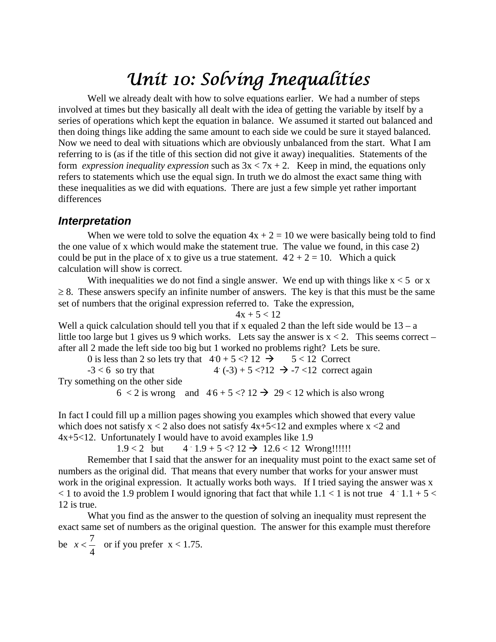### *Unit 10: Solving Inequalities*

Well we already dealt with how to solve equations earlier. We had a number of steps involved at times but they basically all dealt with the idea of getting the variable by itself by a series of operations which kept the equation in balance. We assumed it started out balanced and then doing things like adding the same amount to each side we could be sure it stayed balanced. Now we need to deal with situations which are obviously unbalanced from the start. What I am referring to is (as if the title of this section did not give it away) inequalities. Statements of the form *expression inequality expression* such as  $3x < 7x + 2$ . Keep in mind, the equations only refers to statements which use the equal sign. In truth we do almost the exact same thing with these inequalities as we did with equations. There are just a few simple yet rather important differences

#### *Interpretation*

When we were told to solve the equation  $4x + 2 = 10$  we were basically being told to find the one value of x which would make the statement true. The value we found, in this case 2) could be put in the place of x to give us a true statement.  $42 + 2 = 10$ . Which a quick calculation will show is correct.

With inequalities we do not find a single answer. We end up with things like  $x < 5$  or x  $\geq$  8. These answers specify an infinite number of answers. The key is that this must be the same set of numbers that the original expression referred to. Take the expression,  $4x + 5 < 12$ 

Well a quick calculation should tell you that if x equaled 2 than the left side would be  $13 - a$ little too large but 1 gives us 9 which works. Lets say the answer is  $x < 2$ . This seems correct – after all 2 made the left side too big but 1 worked no problems right? Lets be sure.

0 is less than 2 so lets try that  $40 + 5 < 212$   $\rightarrow$   $5 < 12$  Correct  $-3 < 6$  so try that 4 (-3) + 5 <?12  $\rightarrow$  -7 <12 correct again Try something on the other side

```
6 < 2 is wrong and 4.6 + 5 < 2.12 \rightarrow 29 < 12 which is also wrong
```
In fact I could fill up a million pages showing you examples which showed that every value which does not satisfy  $x < 2$  also does not satisfy  $4x+5<12$  and exmples where  $x < 2$  and 4x+5<12. Unfortunately I would have to avoid examples like 1.9

> $1.9 < 2$  but  $4.1.9 + 5 < ? 12 \rightarrow 12.6 < 12$  Wrong!!!!!!

Remember that I said that the answer for an inequality must point to the exact same set of numbers as the original did. That means that every number that works for your answer must work in the original expression. It actually works both ways. If I tried saying the answer was x  $<$  1 to avoid the 1.9 problem I would ignoring that fact that while 1.1  $<$  1 is not true 4  $\cdot$  1.1 + 5  $<$ 12 is true.

What you find as the answer to the question of solving an inequality must represent the exact same set of numbers as the original question. The answer for this example must therefore

be 4  $x < \frac{7}{x}$  or if you prefer  $x < 1.75$ .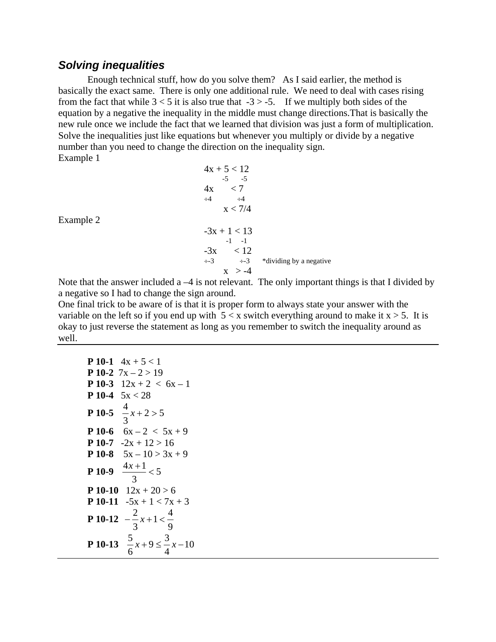#### *Solving inequalities*

Enough technical stuff, how do you solve them? As I said earlier, the method is basically the exact same. There is only one additional rule. We need to deal with cases rising from the fact that while  $3 < 5$  it is also true that  $-3 > -5$ . If we multiply both sides of the equation by a negative the inequality in the middle must change directions.That is basically the new rule once we include the fact that we learned that division was just a form of multiplication. Solve the inequalities just like equations but whenever you multiply or divide by a negative number than you need to change the direction on the inequality sign. Example 1

|                                    |   | $4x + 5 < 12$                                         |                         |
|------------------------------------|---|-------------------------------------------------------|-------------------------|
|                                    |   | $-5 - 5$                                              |                         |
|                                    |   | < 7<br>4x                                             |                         |
|                                    |   | $\div 4$<br>$\div 4$                                  |                         |
|                                    |   | x < 7/4                                               |                         |
| Example 2                          |   |                                                       |                         |
|                                    |   | $-3x + 1 < 13$                                        |                         |
|                                    |   | $-1 - -1$                                             |                         |
|                                    |   | $-3x \le 12$                                          |                         |
|                                    |   | $\div 3$ $\div 3$                                     | *dividing by a negative |
|                                    |   | $x > -4$                                              |                         |
| $\sim$ $\sim$ $\sim$ $\sim$ $\sim$ | . | .<br>$\sim$ $\sim$ $\sim$ $\sim$ $\sim$ $\sim$ $\sim$ |                         |

Note that the answer included a  $-4$  is not relevant. The only important things is that I divided by a negative so I had to change the sign around.

One final trick to be aware of is that it is proper form to always state your answer with the variable on the left so if you end up with  $5 < x$  switch everything around to make it  $x > 5$ . It is okay to just reverse the statement as long as you remember to switch the inequality around as well.

| <b>P</b> 10-1 $4x + 5 < 1$                          |
|-----------------------------------------------------|
|                                                     |
| <b>P</b> 10-2 $7x - 2 > 19$                         |
| <b>P 10-3</b> $12x + 2 < 6x - 1$                    |
| <b>P</b> 10-4 $5x < 28$                             |
| <b>P 10-5</b> $\frac{4}{3}x + 2 > 5$                |
| <b>P 10-6</b> $6x - 2 < 5x + 9$                     |
| <b>P</b> 10-7 $-2x + 12 > 16$                       |
| <b>P 10-8</b> $5x - 10 > 3x + 9$                    |
| $\frac{4x+1}{3} < 5$<br>$P$ 10-9                    |
| <b>P</b> 10-10 $12x + 20 > 6$                       |
| <b>P</b> 10-11 $-5x + 1 < 7x + 3$                   |
| <b>P</b> 10-12 $-\frac{2}{3}x+1 < \frac{4}{9}$      |
| <b>P 10-13</b> $\frac{5}{6}x+9 \le \frac{3}{4}x-10$ |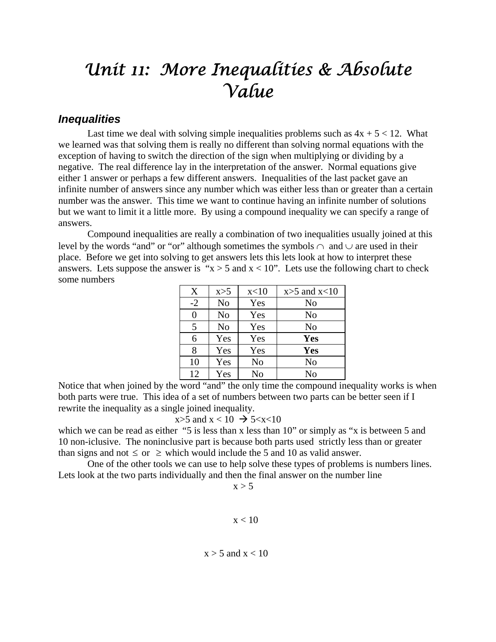### *Unit 11: More Inequalities & Absolute Value*

#### *Inequalities*

Last time we deal with solving simple inequalities problems such as  $4x + 5 < 12$ . What we learned was that solving them is really no different than solving normal equations with the exception of having to switch the direction of the sign when multiplying or dividing by a negative. The real difference lay in the interpretation of the answer. Normal equations give either 1 answer or perhaps a few different answers. Inequalities of the last packet gave an infinite number of answers since any number which was either less than or greater than a certain number was the answer. This time we want to continue having an infinite number of solutions but we want to limit it a little more. By using a compound inequality we can specify a range of answers.

 Compound inequalities are really a combination of two inequalities usually joined at this level by the words "and" or "or" although sometimes the symbols  $\cap$  and  $\cup$  are used in their place. Before we get into solving to get answers lets this lets look at how to interpret these answers. Lets suppose the answer is " $x > 5$  and  $x < 10$ ". Lets use the following chart to check some numbers 

| X        | x>5            | x<10 | $x>5$ and $x<10$ |
|----------|----------------|------|------------------|
| $-2$     | N <sub>o</sub> | Yes  | No               |
| $\theta$ | No             | Yes  | No               |
| 5        | N <sub>o</sub> | Yes  | N <sub>o</sub>   |
| 6        | Yes            | Yes  | Yes              |
| 8        | Yes            | Yes  | <b>Yes</b>       |
| 10       | Yes            | No   | N <sub>o</sub>   |
| 12       | Yes            | No   | No               |

Notice that when joined by the word "and" the only time the compound inequality works is when both parts were true. This idea of a set of numbers between two parts can be better seen if I rewrite the inequality as a single joined inequality.

$$
x>5 \text{ and } x<10 \Rightarrow 5 < x < 10
$$

which we can be read as either "5 is less than x less than 10" or simply as "x is between 5 and 10 non-iclusive. The noninclusive part is because both parts used strictly less than or greater than signs and not  $\leq$  or  $\geq$  which would include the 5 and 10 as valid answer.

 One of the other tools we can use to help solve these types of problems is numbers lines. Lets look at the two parts individually and then the final answer on the number line

 $x > 5$ 

#### $x < 10$

 $x > 5$  and  $x < 10$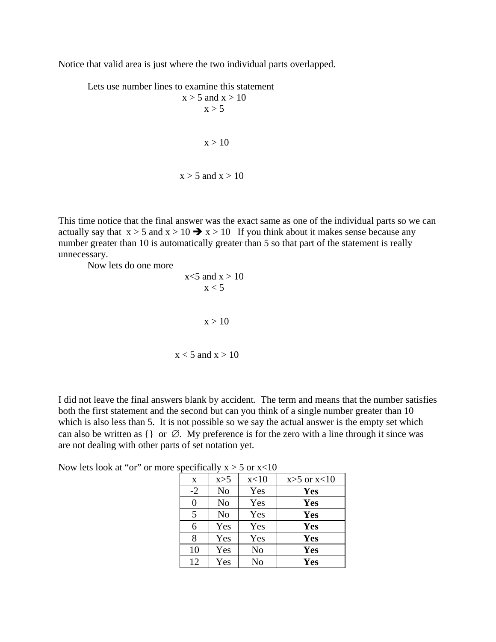Notice that valid area is just where the two individual parts overlapped.

 Lets use number lines to examine this statement  $x > 5$  and  $x > 10$  $x > 5$  $x > 10$  $x > 5$  and  $x > 10$ 

This time notice that the final answer was the exact same as one of the individual parts so we can actually say that  $x > 5$  and  $x > 10 \rightarrow x > 10$  If you think about it makes sense because any number greater than 10 is automatically greater than 5 so that part of the statement is really unnecessary.

Now lets do one more

$$
x < 5 \text{ and } x > 10
$$
  

$$
x < 5
$$
  

$$
x > 10
$$
  

$$
x < 5 \text{ and } x > 10
$$

I did not leave the final answers blank by accident. The term and means that the number satisfies both the first statement and the second but can you think of a single number greater than 10 which is also less than 5. It is not possible so we say the actual answer is the empty set which can also be written as  $\{\}$  or  $\emptyset$ . My preference is for the zero with a line through it since was are not dealing with other parts of set notation yet.

| Now lets look at "or" or more specifically $x > 5$ or $x < 10$ |  |  |
|----------------------------------------------------------------|--|--|
|----------------------------------------------------------------|--|--|

| X    | x>5            | x<10           | $x>5$ or $x<10$ |  |
|------|----------------|----------------|-----------------|--|
| $-2$ | N <sub>o</sub> | Yes            | <b>Yes</b>      |  |
| 0    | N <sub>o</sub> | Yes            | Yes             |  |
| 5    | N <sub>o</sub> | Yes            | <b>Yes</b>      |  |
| 6    | Yes            | Yes            | <b>Yes</b>      |  |
| 8    | Yes            | Yes            | <b>Yes</b>      |  |
| 10   | Yes            | N <sub>o</sub> | <b>Yes</b>      |  |
| 12   | Yes            | N <sub>0</sub> | Yes             |  |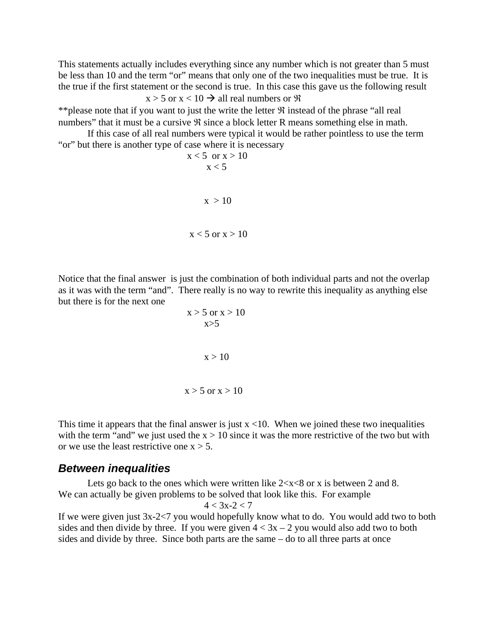This statements actually includes everything since any number which is not greater than 5 must be less than 10 and the term "or" means that only one of the two inequalities must be true. It is the true if the first statement or the second is true. In this case this gave us the following result  $x > 5$  or  $x < 10 \rightarrow$  all real numbers or  $\Re$ 

\*\*please note that if you want to just the write the letter  $\Re$  instead of the phrase "all real numbers" that it must be a cursive  $\Re$  since a block letter R means something else in math.

 If this case of all real numbers were typical it would be rather pointless to use the term "or" but there is another type of case where it is necessary

$$
x < 5 \quad \text{or} \quad x > 10
$$
\n
$$
x < 5
$$
\n
$$
x > 10
$$
\n
$$
x < 5 \quad \text{or} \quad x > 10
$$

Notice that the final answer is just the combination of both individual parts and not the overlap as it was with the term "and". There really is no way to rewrite this inequality as anything else but there is for the next one

$$
x > 5 \text{ or } x > 10
$$
  

$$
x > 5
$$
  

$$
x > 10
$$
  

$$
x > 5 \text{ or } x > 10
$$

This time it appears that the final answer is just  $x < 10$ . When we joined these two inequalities with the term "and" we just used the  $x > 10$  since it was the more restrictive of the two but with or we use the least restrictive one  $x > 5$ .

#### *Between inequalities*

Lets go back to the ones which were written like  $2 < x < 8$  or x is between 2 and 8. We can actually be given problems to be solved that look like this. For example  $4 < 3x - 2 < 7$ 

If we were given just 3x-2<7 you would hopefully know what to do. You would add two to both sides and then divide by three. If you were given  $4 < 3x - 2$  you would also add two to both sides and divide by three. Since both parts are the same – do to all three parts at once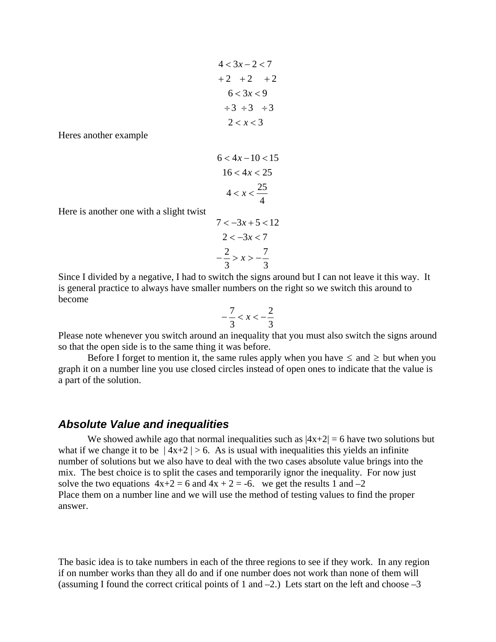$$
4 < 3x - 2 < 7
$$
  
+2 +2 +2 +2  
6 < 3x < 9  

$$
\div 3 \div 3 \div 3
$$
  
2 < x < 3

Heres another example

$$
6 < 4x - 10 < 15
$$
\n
$$
16 < 4x < 25
$$
\n
$$
4 < x < \frac{25}{4}
$$

Here is another one with a slight twist

$$
7 < -3x + 5 < 12
$$
  
\n
$$
2 < -3x < 7
$$
  
\n
$$
-\frac{2}{3} > x > -\frac{7}{3}
$$

Since I divided by a negative, I had to switch the signs around but I can not leave it this way. It is general practice to always have smaller numbers on the right so we switch this around to become

$$
-\frac{7}{3} < x < -\frac{2}{3}
$$

Please note whenever you switch around an inequality that you must also switch the signs around so that the open side is to the same thing it was before.

Before I forget to mention it, the same rules apply when you have  $\leq$  and  $\geq$  but when you graph it on a number line you use closed circles instead of open ones to indicate that the value is a part of the solution.

#### *Absolute Value and inequalities*

We showed awhile ago that normal inequalities such as  $|4x+2| = 6$  have two solutions but what if we change it to be  $|4x+2| > 6$ . As is usual with inequalities this yields an infinite number of solutions but we also have to deal with the two cases absolute value brings into the mix. The best choice is to split the cases and temporarily ignor the inequality. For now just solve the two equations  $4x+2 = 6$  and  $4x + 2 = -6$ . we get the results 1 and  $-2$ Place them on a number line and we will use the method of testing values to find the proper answer.

The basic idea is to take numbers in each of the three regions to see if they work. In any region if on number works than they all do and if one number does not work than none of them will (assuming I found the correct critical points of 1 and  $-2$ .) Lets start on the left and choose  $-3$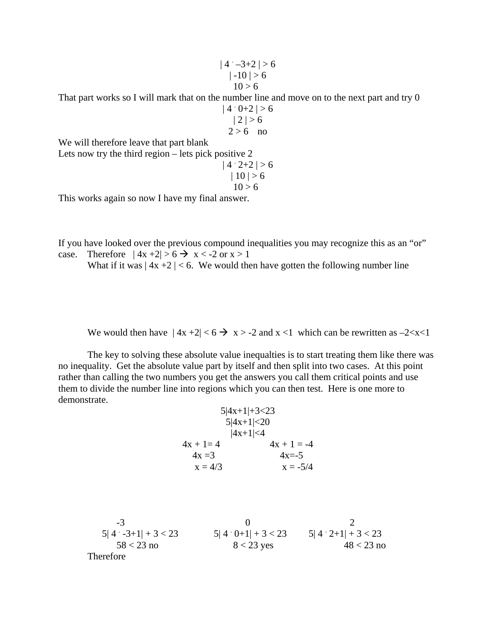$|4 - 3 + 2| > 6$  $|-10| > 6$  $10 > 6$ 

That part works so I will mark that on the number line and move on to the next part and try 0

$$
|4 \cdot 0+2| > 6
$$
  

$$
|2| > 6
$$
  

$$
2 > 6
$$
 no

We will therefore leave that part blank

Lets now try the third region – lets pick positive 2

$$
|4 \cdot 2 + 2| > 6
$$
  
 
$$
|10| > 6
$$
  
 
$$
10 > 6
$$

This works again so now I have my final answer.

If you have looked over the previous compound inequalities you may recognize this as an "or" case. Therefore  $|4x+2| > 6 \rightarrow x < -2$  or  $x > 1$ 

What if it was  $|4x + 2| < 6$ . We would then have gotten the following number line

We would then have  $|4x+2| < 6 \rightarrow x > -2$  and  $x < 1$  which can be rewritten as  $-2 < x < 1$ 

 The key to solving these absolute value inequalties is to start treating them like there was no inequality. Get the absolute value part by itself and then split into two cases. At this point rather than calling the two numbers you get the answers you call them critical points and use them to divide the number line into regions which you can then test. Here is one more to demonstrate.

> 5|4x+1|+3<23  $5|4x+1|<20$  $|4x+1|<4$  $4x + 1 = 4$   $4x + 1 = -4$  $4x = 3$   $4x = -5$  $x = 4/3$   $x = -5/4$

 $-3$  0 2  $5|4 \cdot 3+1| + 3 < 23$ <br> $5|4 \cdot 0+1| + 3 < 23$ <br> $5|4 \cdot 2+1| + 3 < 23$  $58 < 23$  no  $8 < 23$  yes  $48 < 23$  no Therefore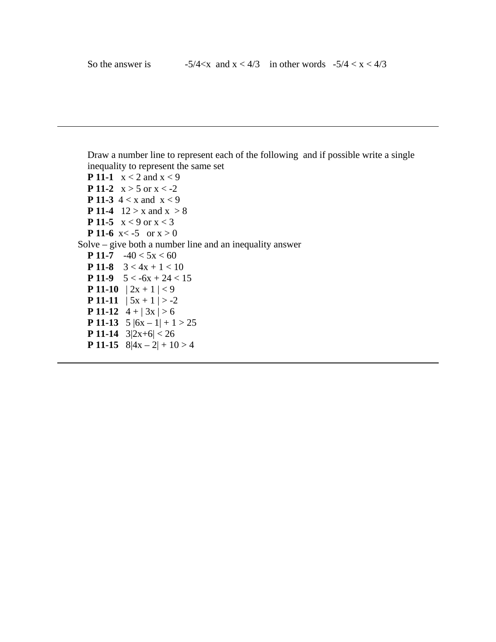Draw a number line to represent each of the following and if possible write a single inequality to represent the same set **P 11-1**  $x < 2$  and  $x < 9$ **P 11-2**  $x > 5$  or  $x < -2$ **P 11-3**  $4 < x$  and  $x < 9$ **P 11-4**  $12 > x$  and  $x > 8$ **P 11-5**  $x < 9$  or  $x < 3$ **P 11-6**  $x < -5$  or  $x > 0$  Solve – give both a number line and an inequality answer **P 11-7**  $-40 < 5x < 60$ **P 11-8**  $3 < 4x + 1 < 10$ **P 11-9**  $5 < -6x + 24 < 15$ **P 11-10**  $|2x + 1| < 9$ **P 11-11**  $| 5x + 1 | > -2$ **P 11-12**  $4 + | 3x | > 6$ **P 11-13**  $5 |6x - 1| + 1 > 25$ **P 11-14**  $3|2x+6| < 26$ **P 11-15**  $8|4x - 2| + 10 > 4$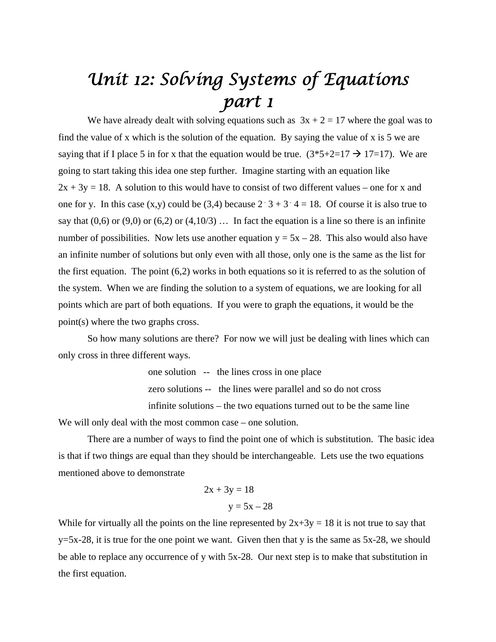### *Unit 12: Solving Systems of Equations part 1*

We have already dealt with solving equations such as  $3x + 2 = 17$  where the goal was to find the value of x which is the solution of the equation. By saying the value of x is 5 we are saying that if I place 5 in for x that the equation would be true.  $(3*5+2=17 \rightarrow 17=17)$ . We are going to start taking this idea one step further. Imagine starting with an equation like  $2x + 3y = 18$ . A solution to this would have to consist of two different values – one for x and one for y. In this case  $(x,y)$  could be  $(3,4)$  because  $2 \cdot 3 + 3 \cdot 4 = 18$ . Of course it is also true to say that  $(0,6)$  or  $(9,0)$  or  $(6,2)$  or  $(4,10/3)$  ... In fact the equation is a line so there is an infinite number of possibilities. Now lets use another equation  $y = 5x - 28$ . This also would also have an infinite number of solutions but only even with all those, only one is the same as the list for the first equation. The point (6,2) works in both equations so it is referred to as the solution of the system. When we are finding the solution to a system of equations, we are looking for all points which are part of both equations. If you were to graph the equations, it would be the point(s) where the two graphs cross.

 So how many solutions are there? For now we will just be dealing with lines which can only cross in three different ways.

> one solution -- the lines cross in one place zero solutions -- the lines were parallel and so do not cross infinite solutions – the two equations turned out to be the same line

We will only deal with the most common case – one solution.

 There are a number of ways to find the point one of which is substitution. The basic idea is that if two things are equal than they should be interchangeable. Lets use the two equations mentioned above to demonstrate

$$
2x + 3y = 18
$$

$$
y = 5x - 28
$$

While for virtually all the points on the line represented by  $2x+3y = 18$  it is not true to say that  $y=5x-28$ , it is true for the one point we want. Given then that y is the same as  $5x-28$ , we should be able to replace any occurrence of y with 5x-28. Our next step is to make that substitution in the first equation.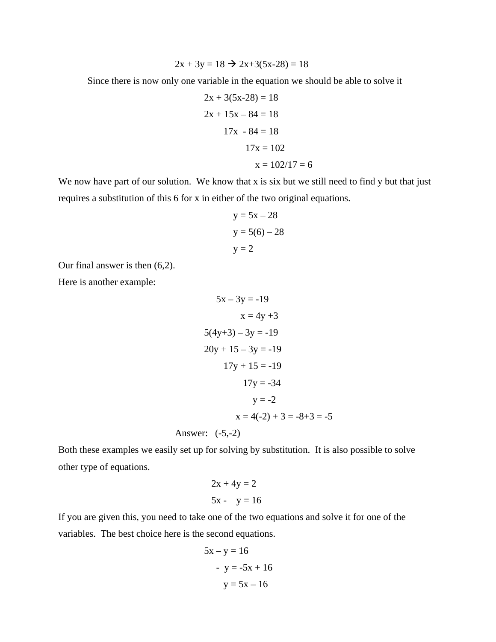$$
2x + 3y = 18 \rightarrow 2x + 3(5x - 28) = 18
$$

Since there is now only one variable in the equation we should be able to solve it

$$
2x + 3(5x-28) = 18
$$
  

$$
2x + 15x - 84 = 18
$$
  

$$
17x - 84 = 18
$$
  

$$
17x = 102
$$
  

$$
x = 102/17 = 6
$$

We now have part of our solution. We know that x is six but we still need to find y but that just requires a substitution of this 6 for x in either of the two original equations.

$$
y = 5x - 28
$$
  

$$
y = 5(6) - 28
$$
  

$$
y = 2
$$

Our final answer is then (6,2).

Here is another example:

$$
5x - 3y = -19
$$
  
\n
$$
x = 4y + 3
$$
  
\n
$$
5(4y+3) - 3y = -19
$$
  
\n
$$
20y + 15 - 3y = -19
$$
  
\n
$$
17y + 15 = -19
$$
  
\n
$$
17y = -34
$$
  
\n
$$
y = -2
$$
  
\n
$$
x = 4(-2) + 3 = -8 + 3 = -5
$$
  
\nAnswer: (-5,-2)

Both these examples we easily set up for solving by substitution. It is also possible to solve other type of equations.

$$
2x + 4y = 2
$$
  

$$
5x - y = 16
$$

If you are given this, you need to take one of the two equations and solve it for one of the variables. The best choice here is the second equations.

$$
5x - y = 16
$$

$$
- y = -5x + 16
$$

$$
y = 5x - 16
$$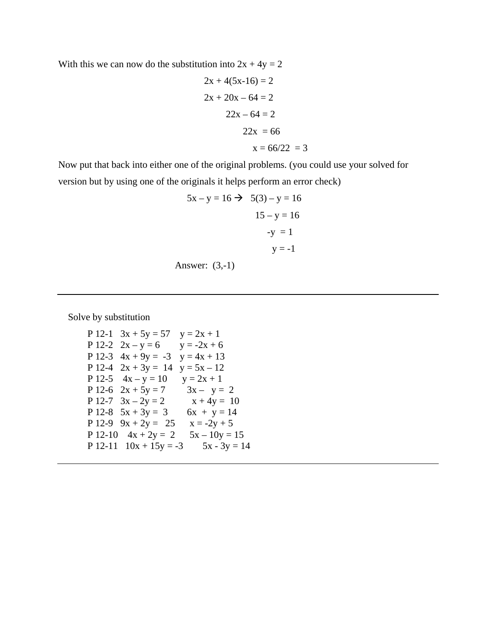With this we can now do the substitution into  $2x + 4y = 2$ 

$$
2x + 4(5x-16) = 2
$$
  

$$
2x + 20x - 64 = 2
$$
  

$$
22x - 64 = 2
$$
  

$$
22x = 66
$$
  

$$
x = 66/22 = 3
$$

Now put that back into either one of the original problems. (you could use your solved for version but by using one of the originals it helps perform an error check)

$$
5x - y = 16 \rightarrow 5(3) - y = 16
$$
  

$$
15 - y = 16
$$
  

$$
-y = 1
$$
  

$$
y = -1
$$

Answer: (3,-1)

Solve by substitution

P 12-1  $3x + 5y = 57$   $y = 2x + 1$ P 12-2  $2x - y = 6$   $y = -2x + 6$ P 12-3  $4x + 9y = -3$   $y = 4x + 13$ P 12-4  $2x + 3y = 14$   $y = 5x - 12$ P 12-5  $4x - y = 10$   $y = 2x + 1$ P 12-6  $2x + 5y = 7$   $3x - y = 2$ P 12-7  $3x - 2y = 2$   $x + 4y = 10$ P 12-8  $5x + 3y = 3$   $6x + y = 14$ P 12-9  $9x + 2y = 25$   $x = -2y + 5$ P 12-10  $4x + 2y = 2$   $5x - 10y = 15$ P  $12-11$   $10x + 15y = -3$   $5x - 3y = 14$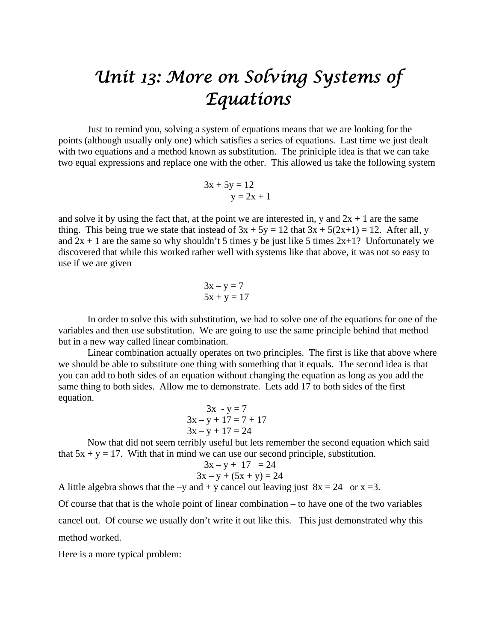### *Unit 13: More on Solving Systems of Equations*

Just to remind you, solving a system of equations means that we are looking for the points (although usually only one) which satisfies a series of equations. Last time we just dealt with two equations and a method known as substitution. The priniciple idea is that we can take two equal expressions and replace one with the other. This allowed us take the following system

$$
3x + 5y = 12
$$
  

$$
y = 2x + 1
$$

and solve it by using the fact that, at the point we are interested in, y and  $2x + 1$  are the same thing. This being true we state that instead of  $3x + 5y = 12$  that  $3x + 5(2x+1) = 12$ . After all, y and  $2x + 1$  are the same so why shouldn't 5 times y be just like 5 times  $2x+1$ ? Unfortunately we discovered that while this worked rather well with systems like that above, it was not so easy to use if we are given

$$
3x - y = 7
$$
  

$$
5x + y = 17
$$

 In order to solve this with substitution, we had to solve one of the equations for one of the variables and then use substitution. We are going to use the same principle behind that method but in a new way called linear combination.

 Linear combination actually operates on two principles. The first is like that above where we should be able to substitute one thing with something that it equals. The second idea is that you can add to both sides of an equation without changing the equation as long as you add the same thing to both sides. Allow me to demonstrate. Lets add 17 to both sides of the first equation.

$$
3x - y = 7
$$
  
3x - y + 17 = 7 + 17  
3x - y + 17 = 24

 Now that did not seem terribly useful but lets remember the second equation which said that  $5x + y = 17$ . With that in mind we can use our second principle, substitution.

$$
3x - y + 17 = 24
$$
  
3x - y + (5x + y) = 24

A little algebra shows that the –y and + y cancel out leaving just  $8x = 24$  or  $x = 3$ .

Of course that that is the whole point of linear combination – to have one of the two variables cancel out. Of course we usually don't write it out like this. This just demonstrated why this method worked.

Here is a more typical problem: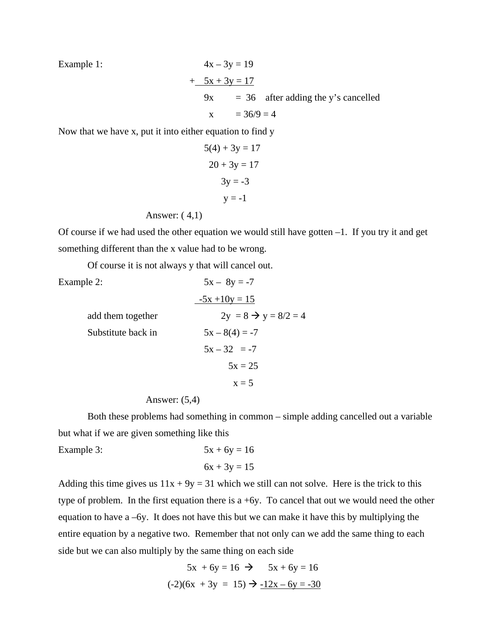Example 1:  $4x - 3y = 19$  $+ 5x + 3y = 17$  $9x = 36$  after adding the y's cancelled  $x = 36/9 = 4$ 

Now that we have x, put it into either equation to find y

$$
5(4) + 3y = 17
$$

$$
20 + 3y = 17
$$

$$
3y = -3
$$

$$
y = -1
$$

Answer: ( 4,1)

Of course if we had used the other equation we would still have gotten –1. If you try it and get something different than the x value had to be wrong.

Of course it is not always y that will cancel out.

| Example 2:         | $5x - 8y = -7$                   |
|--------------------|----------------------------------|
|                    | $-5x + 10y = 15$                 |
| add them together  | $2y = 8 \rightarrow y = 8/2 = 4$ |
| Substitute back in | $5x - 8(4) = -7$                 |
|                    | $5x - 32 = -7$                   |
|                    | $5x = 25$                        |
|                    | $x = 5$                          |

Answer: (5,4)

 Both these problems had something in common – simple adding cancelled out a variable but what if we are given something like this

Example 3:  $5x + 6y = 16$  $6x + 3y = 15$ 

Adding this time gives us  $11x + 9y = 31$  which we still can not solve. Here is the trick to this type of problem. In the first equation there is a  $+6y$ . To cancel that out we would need the other equation to have a –6y. It does not have this but we can make it have this by multiplying the entire equation by a negative two. Remember that not only can we add the same thing to each side but we can also multiply by the same thing on each side

$$
5x + 6y = 16 \implies 5x + 6y = 16
$$

$$
(-2)(6x + 3y = 15) \implies -12x - 6y = -30
$$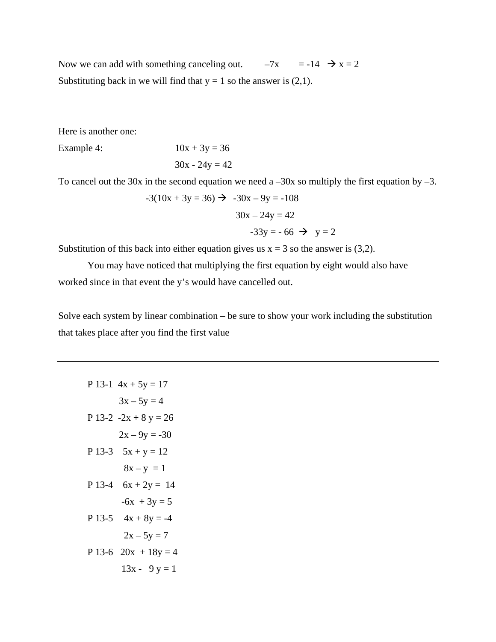Now we can add with something canceling out.  $-7x = -14$   $\rightarrow x = 2$ Substituting back in we will find that  $y = 1$  so the answer is (2,1).

Here is another one:

Example 4:  $10x + 3y = 36$ 

 $30x - 24y = 42$ 

To cancel out the 30x in the second equation we need a  $-30x$  so multiply the first equation by  $-3$ .

$$
-3(10x + 3y = 36) \rightarrow -30x - 9y = -108
$$

$$
30x - 24y = 42
$$

$$
-33y = -66 \rightarrow y = 2
$$

Substitution of this back into either equation gives us  $x = 3$  so the answer is (3,2).

 You may have noticed that multiplying the first equation by eight would also have worked since in that event the y's would have cancelled out.

Solve each system by linear combination – be sure to show your work including the substitution that takes place after you find the first value

P 13-1 
$$
4x + 5y = 17
$$
  
\n $3x - 5y = 4$   
\nP 13-2  $-2x + 8y = 26$   
\n $2x - 9y = -30$   
\nP 13-3  $5x + y = 12$   
\n $8x - y = 1$   
\nP 13-4  $6x + 2y = 14$   
\n $-6x + 3y = 5$   
\nP 13-5  $4x + 8y = -4$   
\n $2x - 5y = 7$   
\nP 13-6  $20x + 18y = 4$   
\n $13x - 9y = 1$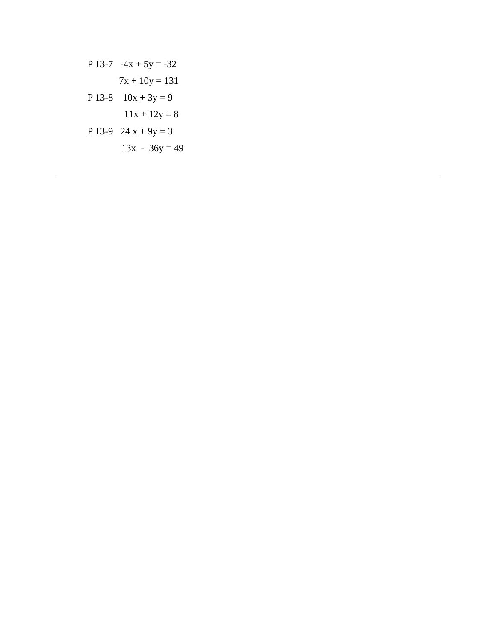P 13-7 
$$
-4x + 5y = -32
$$
  
\n $7x + 10y = 131$   
\nP 13-8  $10x + 3y = 9$   
\n $11x + 12y = 8$   
\nP 13-9  $24x + 9y = 3$   
\n $13x - 36y = 49$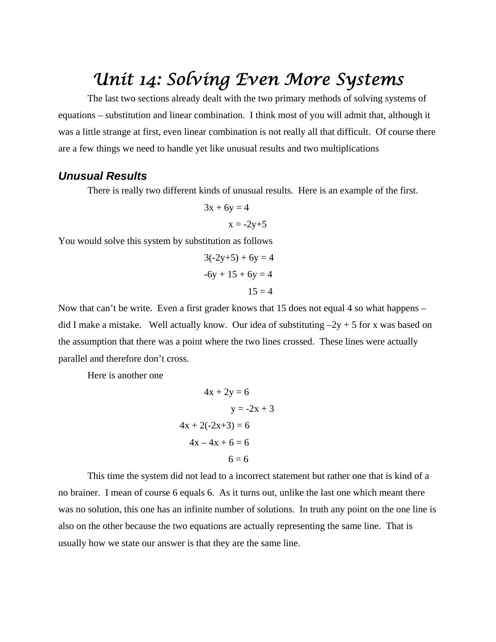### *Unit 14: Solving Even More Systems*

 The last two sections already dealt with the two primary methods of solving systems of equations – substitution and linear combination. I think most of you will admit that, although it was a little strange at first, even linear combination is not really all that difficult. Of course there are a few things we need to handle yet like unusual results and two multiplications

#### *Unusual Results*

There is really two different kinds of unusual results. Here is an example of the first.

$$
3x + 6y = 4
$$

$$
x = -2y+5
$$

You would solve this system by substitution as follows

$$
3(-2y+5) + 6y = 4
$$
  
-6y + 15 + 6y = 4  
15 = 4

Now that can't be write. Even a first grader knows that 15 does not equal 4 so what happens – did I make a mistake. Well actually know. Our idea of substituting  $-2y + 5$  for x was based on the assumption that there was a point where the two lines crossed. These lines were actually parallel and therefore don't cross.

Here is another one

$$
4x + 2y = 6
$$
  

$$
y = -2x + 3
$$
  

$$
4x + 2(-2x+3) = 6
$$
  

$$
4x - 4x + 6 = 6
$$
  

$$
6 = 6
$$

 This time the system did not lead to a incorrect statement but rather one that is kind of a no brainer. I mean of course 6 equals 6. As it turns out, unlike the last one which meant there was no solution, this one has an infinite number of solutions. In truth any point on the one line is also on the other because the two equations are actually representing the same line. That is usually how we state our answer is that they are the same line.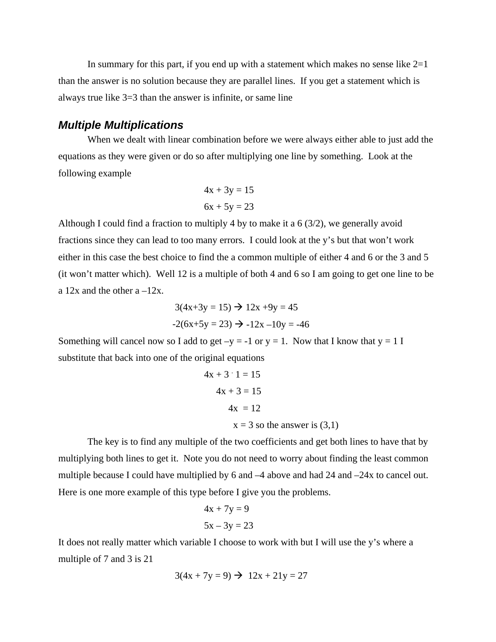In summary for this part, if you end up with a statement which makes no sense like  $2=1$ than the answer is no solution because they are parallel lines. If you get a statement which is always true like 3=3 than the answer is infinite, or same line

#### *Multiple Multiplications*

 When we dealt with linear combination before we were always either able to just add the equations as they were given or do so after multiplying one line by something. Look at the following example

$$
4x + 3y = 15
$$

$$
6x + 5y = 23
$$

Although I could find a fraction to multiply 4 by to make it a  $6 \frac{3}{2}$ , we generally avoid fractions since they can lead to too many errors. I could look at the y's but that won't work either in this case the best choice to find the a common multiple of either 4 and 6 or the 3 and 5 (it won't matter which). Well 12 is a multiple of both 4 and 6 so I am going to get one line to be a  $12x$  and the other  $a - 12x$ .

$$
3(4x+3y = 15) \rightarrow 12x +9y = 45
$$

$$
-2(6x+5y = 23) \rightarrow -12x -10y = -46
$$

Something will cancel now so I add to get  $-y = -1$  or  $y = 1$ . Now that I know that  $y = 1$  I substitute that back into one of the original equations

$$
4x + 3 \cdot 1 = 15
$$
  
 
$$
4x + 3 = 15
$$
  
 
$$
4x = 12
$$
  
 
$$
x = 3
$$
 so the answer is (3,1)

 The key is to find any multiple of the two coefficients and get both lines to have that by multiplying both lines to get it. Note you do not need to worry about finding the least common multiple because I could have multiplied by 6 and  $-4$  above and had 24 and  $-24x$  to cancel out. Here is one more example of this type before I give you the problems.

$$
4x + 7y = 9
$$

$$
5x - 3y = 23
$$

It does not really matter which variable I choose to work with but I will use the y's where a multiple of 7 and 3 is 21

$$
3(4x + 7y = 9) \rightarrow 12x + 21y = 27
$$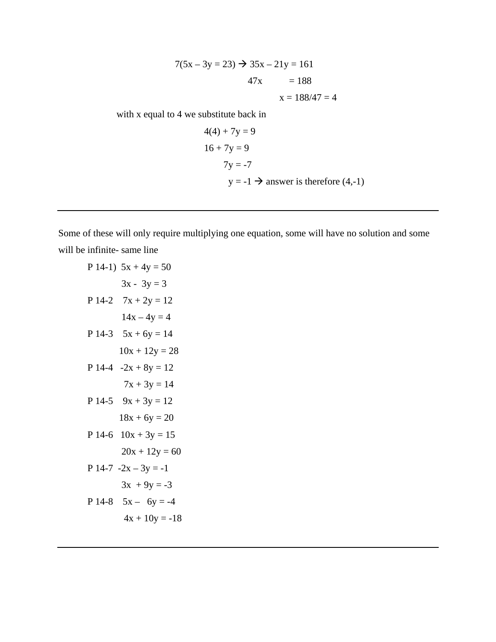$$
7(5x - 3y = 23) \rightarrow 35x - 21y = 161
$$
  

$$
47x = 188
$$
  

$$
x = 188/47 = 4
$$

with x equal to 4 we substitute back in

$$
4(4) + 7y = 9
$$
  
16 + 7y = 9  
7y = -7  
y = -1  $\rightarrow$  answer is therefore (4,-1)

Some of these will only require multiplying one equation, some will have no solution and some will be infinite- same line

P 14-1) 
$$
5x + 4y = 50
$$
  
\n $3x - 3y = 3$   
\nP 14-2  $7x + 2y = 12$   
\n $14x - 4y = 4$   
\nP 14-3  $5x + 6y = 14$   
\n $10x + 12y = 28$   
\nP 14-4  $-2x + 8y = 12$   
\n $7x + 3y = 14$   
\nP 14-5  $9x + 3y = 12$   
\n $18x + 6y = 20$   
\nP 14-6  $10x + 3y = 15$   
\n $20x + 12y = 60$   
\nP 14-7  $-2x - 3y = -1$   
\n $3x + 9y = -3$   
\nP 14-8  $5x - 6y = -4$   
\n $4x + 10y = -18$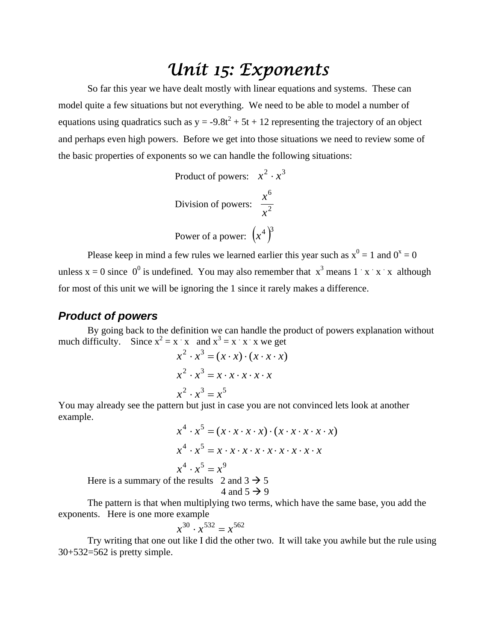### *Unit 15: Exponents*

 So far this year we have dealt mostly with linear equations and systems. These can model quite a few situations but not everything. We need to be able to model a number of equations using quadratics such as  $y = -9.8t^2 + 5t + 12$  representing the trajectory of an object and perhaps even high powers. Before we get into those situations we need to review some of the basic properties of exponents so we can handle the following situations:

Product of powers: 
$$
x^2 \cdot x^3
$$
  
Division of powers:  $\frac{x^6}{x^2}$   
Power of a power:  $(x^4)^3$ 

Please keep in mind a few rules we learned earlier this year such as  $x^0 = 1$  and  $0^x = 0$ unless  $x = 0$  since  $0^0$  is undefined. You may also remember that  $x^3$  means  $1 \times x \times x$  although for most of this unit we will be ignoring the 1 since it rarely makes a difference.

#### *Product of powers*

 By going back to the definition we can handle the product of powers explanation without much difficulty. Since  $x^2 = x \cdot x$  and  $x^3 = x \cdot x \cdot x$  we get

$$
x2 \cdot x3 = (x \cdot x) \cdot (x \cdot x \cdot x)
$$

$$
x2 \cdot x3 = x \cdot x \cdot x \cdot x \cdot x
$$

$$
x2 \cdot x3 = x5
$$

You may already see the pattern but just in case you are not convinced lets look at another example.

$$
x^{4} \cdot x^{5} = (x \cdot x \cdot x \cdot x) \cdot (x \cdot x \cdot x \cdot x \cdot x)
$$

$$
x^{4} \cdot x^{5} = x \cdot x \cdot x \cdot x \cdot x \cdot x \cdot x \cdot x
$$

$$
x^{4} \cdot x^{5} = x^{9}
$$
  
Here is a summary of the results 2 and 3  $\rightarrow$  5  
4 and 5  $\rightarrow$  9

The pattern is that when multiplying two terms, which have the same base, you add the exponents. Here is one more example

$$
x^{30} \cdot x^{532} = x^{562}
$$

Try writing that one out like I did the other two. It will take you awhile but the rule using 30+532=562 is pretty simple.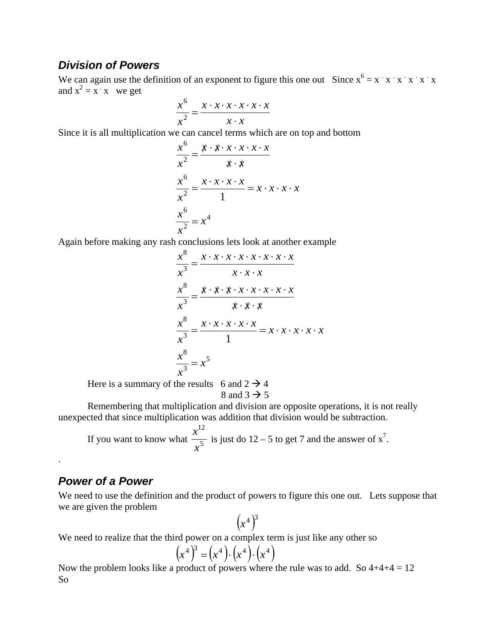#### *Division of Powers*

We can again use the definition of an exponent to figure this one out Since  $x^6 = x \cdot x \cdot x \cdot x \cdot x \cdot x$ and  $x^2 = x^2$  is we get

$$
\frac{x^6}{x^2} = \frac{x \cdot x \cdot x \cdot x \cdot x \cdot x}{x \cdot x}
$$

Since it is all multiplication we can cancel terms which are on top and bottom

$$
\frac{x^6}{x^2} = \frac{x \cdot x \cdot x \cdot x \cdot x \cdot x}{x \cdot x}
$$

$$
\frac{x^6}{x^2} = \frac{x \cdot x \cdot x \cdot x}{1} = x \cdot x \cdot x \cdot x
$$

$$
\frac{x^6}{x^2} = x^4
$$

Again before making any rash conclusions lets look at another example

$$
\frac{x^8}{x^3} = \frac{x \cdot x \cdot x \cdot x \cdot x \cdot x \cdot x \cdot x}{x \cdot x \cdot x}
$$

$$
\frac{x^8}{x^3} = \frac{x \cdot x \cdot x \cdot x \cdot x \cdot x \cdot x}{x \cdot x \cdot x}
$$

$$
\frac{x^8}{x^3} = \frac{x \cdot x \cdot x \cdot x \cdot x}{1} = x \cdot x \cdot x \cdot x \cdot x
$$

$$
\frac{x^8}{x^3} = x^5
$$

Here is a summary of the results 6 and  $2 \rightarrow 4$ 

8 and 3  $\rightarrow$  5

Remembering that multiplication and division are opposite operations, it is not really unexpected that since multiplication was addition that division would be subtraction.

If you want to know what  $\frac{x}{\sqrt{5}}$ 12 *x x* is just do  $12 - 5$  to get 7 and the answer of  $x^7$ .

#### *Power of a Power*

.

We need to use the definition and the product of powers to figure this one out. Lets suppose that we are given the problem

$$
\left(x^4\right)^3
$$

We need to realize that the third power on a complex term is just like any other so

$$
(x^4)^3 = (x^4) \cdot (x^4) \cdot (x^4)
$$

Now the problem looks like a product of powers where the rule was to add. So  $4+4+4=12$ So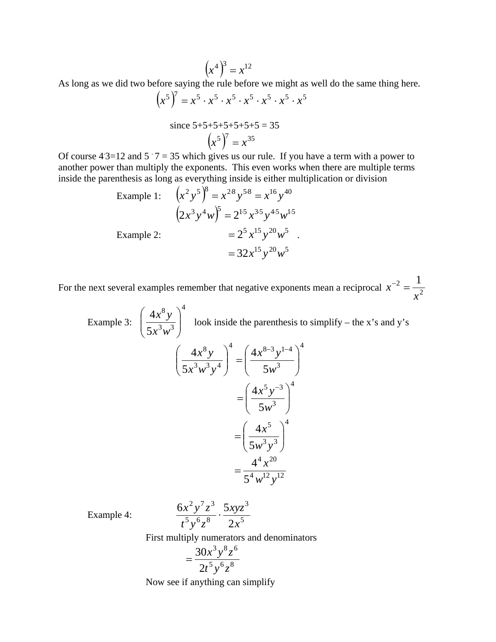$$
\left(x^4\right)^3 = x^{12}
$$

As long as we did two before saying the rule before we might as well do the same thing here.

$$
(x5)7 = x5 \cdot x5 \cdot x5 \cdot x5 \cdot x5 \cdot x5 \cdot x5
$$
  
since 5+5+5+5+5+5+5 = 35

 $(x^5)^7 = x^{35}$ 

Of course  $4 \cdot 3 = 12$  and  $5 \cdot 7 = 35$  which gives us our rule. If you have a term with a power to another power than multiply the exponents. This even works when there are multiple terms inside the parenthesis as long as everything inside is either multiplication or division

Example 1: 
$$
(x^2 y^5)^8 = x^{28} y^{5\cdot 8} = x^{16} y^{40}
$$
  
\n $(2x^3 y^4 w)^5 = 2^{15} x^{35} y^{45} w^{15}$   
\nExample 2:  $= 2^5 x^{15} y^{20} w^5$   
\n $= 32x^{15} y^{20} w^5$ 

For the next several examples remember that negative exponents mean a reciprocal  $x^{-2} = \frac{1}{x^2}$  $\frac{2}{1}$  1 *x*  $x^{-2} =$ 

 Example 3: 4  $3, 3$ 8 5 4  $\overline{\phantom{a}}$  $\bigg)$  $\setminus$  $\overline{\phantom{a}}$  $\setminus$ ſ  $x^3w$  $\left(\frac{x^8 y}{x^2}\right)^3$  look inside the parenthesis to simplify – the x's and y's 4 3  $\frac{4}{(4x^{8-3}+1)}$  $3...3...4$ 8 5 4 5 4  $\overline{\phantom{a}}$ J  $\setminus$  $\overline{\phantom{a}}$  $\setminus$  $\Bigg)^{4} = \Bigg($ J  $\setminus$  $\overline{\phantom{a}}$  $\setminus$  $(4x^8y)^4 (4x^{8-3}y^{1-}$ *w x y*  $x^3w^3y$ *x y* 4 3  $5, -3$ 5 4  $\overline{\phantom{a}}$  $\bigg)$  $\setminus$  $\overline{\phantom{a}}$  $\setminus$  $=\left(\frac{4x^5y}{2}\right)^{\frac{1}{2}}$ *w x y* 4  $3, 3$ 5 5 4  $\overline{\phantom{a}}$ J  $\setminus$  $\overline{\phantom{a}}$  $=\left(\frac{4x^5}{5w^3y}\right)$  $=\frac{1}{54} \frac{u}{12}$  $4,20$ 5 4  $w^{12}y$  $=\frac{4^4 x}{4}$ 

Example 4:  $\frac{3\pi}{45} \cdot \frac{5\pi}{2} \cdot \frac{3\pi}{2}$ 3  $5, 6, 8$  $2, 7, 3$ 2  $6x^2y'z^3$  5 *x xyz*  $t^5y^6z$  $\frac{x^2y^7z^3}{5-6.8}$ .

First multiply numerators and denominators

$$
=\frac{30x^3y^8z^6}{2t^5y^6z^8}
$$

Now see if anything can simplify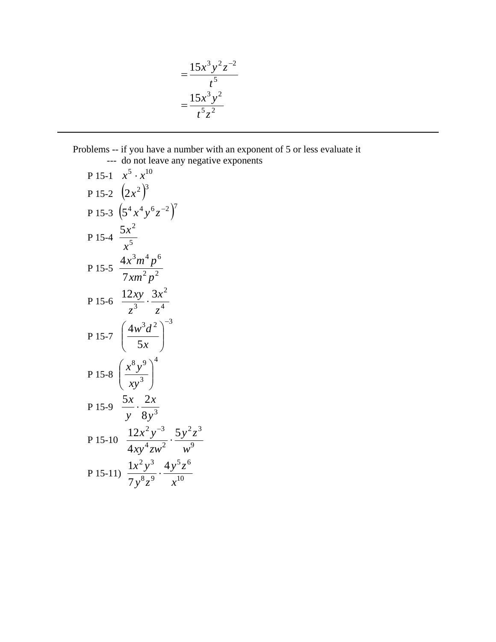$$
= \frac{15x^3y^2z^{-2}}{t^5}
$$

$$
= \frac{15x^3y^2}{t^5z^2}
$$

#### Problems -- if you have a number with an exponent of 5 or less evaluate it --- do not leave any negative exponents

P 15-1 
$$
x^5 \cdot x^{10}
$$
  
\nP 15-2  $(2x^2)^3$   
\nP 15-3  $(5^4x^4y^6z^{-2})^7$   
\nP 15-4  $\frac{5x^2}{x^5}$   
\nP 15-5  $\frac{4x^3m^4p^6}{7xm^2p^2}$   
\nP 15-6  $\frac{12xy}{z^3} \cdot \frac{3x^2}{z^4}$   
\nP 15-7  $(\frac{4w^3d^2}{5x})^{-3}$   
\nP 15-8  $(\frac{x^8y^9}{xy^3})^4$   
\nP 15-9  $\frac{5x}{y} \cdot \frac{2x}{8y^3}$   
\nP 15-10  $\frac{12x^2y^{-3}}{4xy^4zw^2} \cdot \frac{5y^2z^3}{w^9}$   
\nP 15-11)  $\frac{1x^2y^3}{7y^8z^9} \cdot \frac{4y^5z^6}{x^{10}}$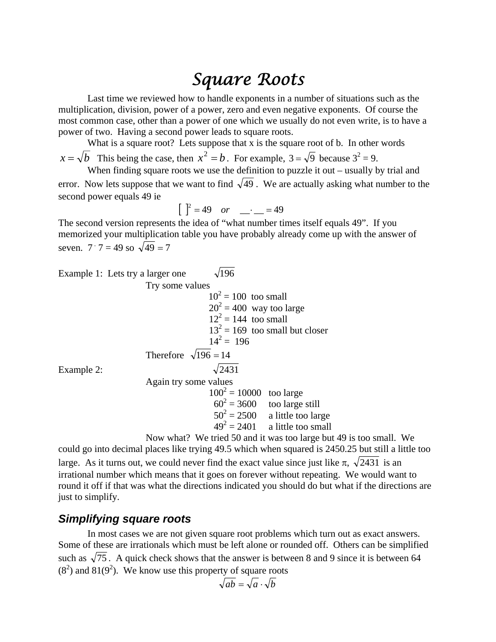### *Square Roots*

 Last time we reviewed how to handle exponents in a number of situations such as the multiplication, division, power of a power, zero and even negative exponents. Of course the most common case, other than a power of one which we usually do not even write, is to have a power of two. Having a second power leads to square roots.

What is a square root? Lets suppose that x is the square root of b. In other words  $x = \sqrt{b}$  This being the case, then  $x^2 = b$ . For example,  $3 = \sqrt{9}$  because  $3^2 = 9$ .

When finding square roots we use the definition to puzzle it out – usually by trial and error. Now lets suppose that we want to find  $\sqrt{49}$ . We are actually asking what number to the second power equals 49 ie

$$
\begin{bmatrix} 1^2 = 49 & or \end{bmatrix}
$$
 = 49

The second version represents the idea of "what number times itself equals 49". If you memorized your multiplication table you have probably already come up with the answer of seven. 7  $7 = 49$  so  $\sqrt{49} = 7$ 

|                             | Example 1: Lets try a larger one | $\sqrt{196}$               |                                   |  |  |
|-----------------------------|----------------------------------|----------------------------|-----------------------------------|--|--|
| Try some values             |                                  |                            |                                   |  |  |
|                             |                                  | $10^2 = 100$ too small     |                                   |  |  |
|                             |                                  | $20^2$ = 400 way too large |                                   |  |  |
|                             |                                  | $12^2 = 144$ too small     |                                   |  |  |
|                             |                                  |                            | $13^2 = 169$ too small but closer |  |  |
|                             |                                  | $14^2 = 196$               |                                   |  |  |
| Therefore $\sqrt{196} = 14$ |                                  |                            |                                   |  |  |
| Example 2:                  |                                  | $\sqrt{2431}$              |                                   |  |  |
| Again try some values       |                                  |                            |                                   |  |  |
|                             |                                  | $100^2 = 10000$ too large  |                                   |  |  |
|                             |                                  |                            | $60^2$ = 3600 too large still     |  |  |
|                             |                                  |                            | $50^2 = 2500$ a little too large  |  |  |

$$
50^2 = 2500
$$
 a little too large

 $49<sup>2</sup>$  $49^2 = 2401$  a little too small

 Now what? We tried 50 and it was too large but 49 is too small. We could go into decimal places like trying 49.5 which when squared is 2450.25 but still a little too large. As it turns out, we could never find the exact value since just like  $\pi$ ,  $\sqrt{2431}$  is an irrational number which means that it goes on forever without repeating. We would want to round it off if that was what the directions indicated you should do but what if the directions are just to simplify.

#### *Simplifying square roots*

 In most cases we are not given square root problems which turn out as exact answers. Some of these are irrationals which must be left alone or rounded off. Others can be simplified such as  $\sqrt{75}$ . A quick check shows that the answer is between 8 and 9 since it is between 64  $(8<sup>2</sup>)$  and  $81(9<sup>2</sup>)$ . We know use this property of square roots

$$
\sqrt{ab} = \sqrt{a} \cdot \sqrt{b}
$$